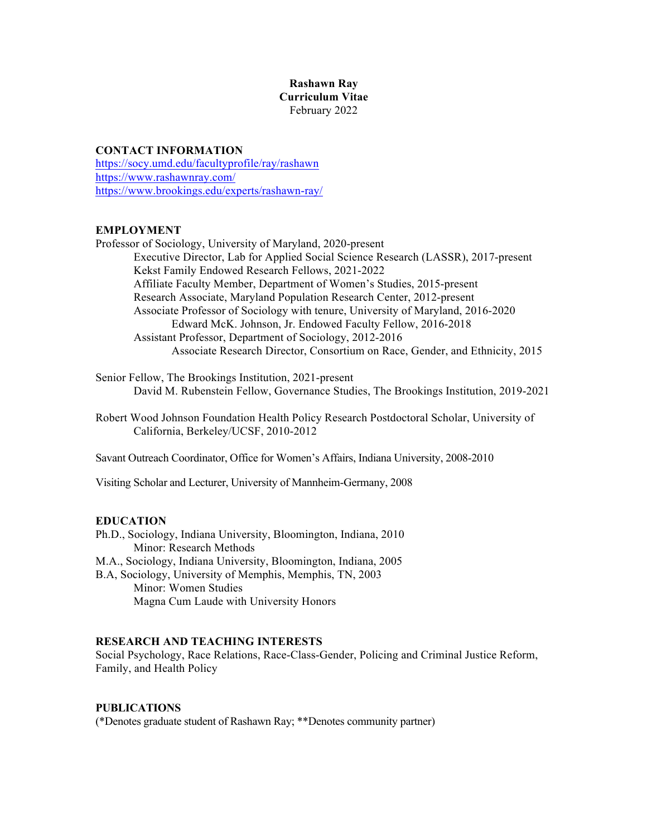# **Rashawn Ray Curriculum Vitae** February 2022

# **CONTACT INFORMATION**

https://socy.umd.edu/facultyprofile/ray/rashawn https://www.rashawnray.com/ https://www.brookings.edu/experts/rashawn-ray/

#### **EMPLOYMENT**

Professor of Sociology, University of Maryland, 2020-present Executive Director, Lab for Applied Social Science Research (LASSR), 2017-present Kekst Family Endowed Research Fellows, 2021-2022 Affiliate Faculty Member, Department of Women's Studies, 2015-present Research Associate, Maryland Population Research Center, 2012-present Associate Professor of Sociology with tenure, University of Maryland, 2016-2020 Edward McK. Johnson, Jr. Endowed Faculty Fellow, 2016-2018 Assistant Professor, Department of Sociology, 2012-2016 Associate Research Director, Consortium on Race, Gender, and Ethnicity, 2015

Senior Fellow, The Brookings Institution, 2021-present David M. Rubenstein Fellow, Governance Studies, The Brookings Institution, 2019-2021

Robert Wood Johnson Foundation Health Policy Research Postdoctoral Scholar, University of California, Berkeley/UCSF, 2010-2012

Savant Outreach Coordinator, Office for Women's Affairs, Indiana University, 2008-2010

Visiting Scholar and Lecturer, University of Mannheim-Germany, 2008

# **EDUCATION**

Ph.D., Sociology, Indiana University, Bloomington, Indiana, 2010 Minor: Research Methods M.A., Sociology, Indiana University, Bloomington, Indiana, 2005 B.A, Sociology, University of Memphis, Memphis, TN, 2003 Minor: Women Studies Magna Cum Laude with University Honors

#### **RESEARCH AND TEACHING INTERESTS**

Social Psychology, Race Relations, Race-Class-Gender, Policing and Criminal Justice Reform, Family, and Health Policy

#### **PUBLICATIONS**

(\*Denotes graduate student of Rashawn Ray; \*\*Denotes community partner)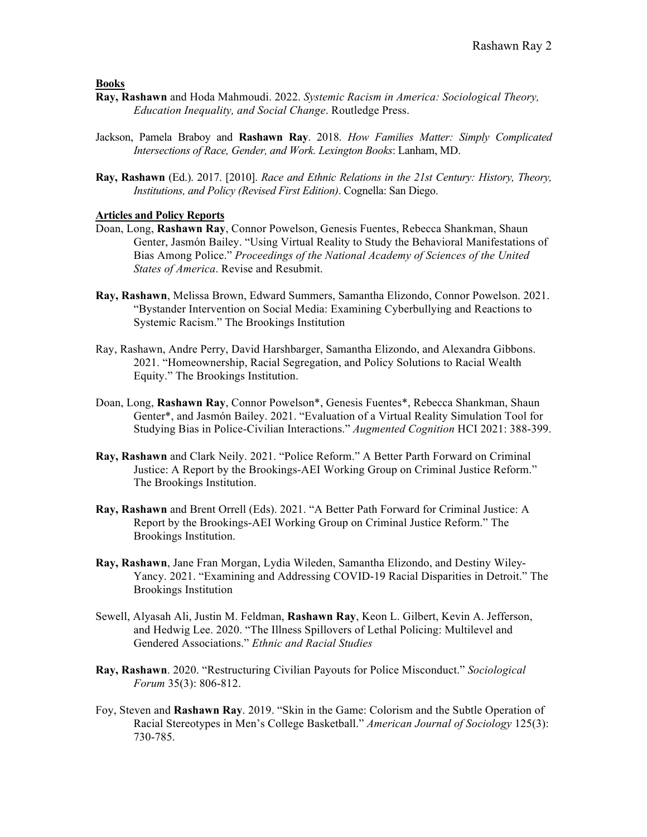**Books**

- **Ray, Rashawn** and Hoda Mahmoudi. 2022. *Systemic Racism in America: Sociological Theory, Education Inequality, and Social Change*. Routledge Press.
- Jackson, Pamela Braboy and **Rashawn Ray**. 2018. *How Families Matter: Simply Complicated Intersections of Race, Gender, and Work. Lexington Books*: Lanham, MD.
- **Ray, Rashawn** (Ed.). 2017. [2010]. *Race and Ethnic Relations in the 21st Century: History, Theory, Institutions, and Policy (Revised First Edition)*. Cognella: San Diego.

# **Articles and Policy Reports**

- Doan, Long, **Rashawn Ray**, Connor Powelson, Genesis Fuentes, Rebecca Shankman, Shaun Genter, Jasmón Bailey. "Using Virtual Reality to Study the Behavioral Manifestations of Bias Among Police." *Proceedings of the National Academy of Sciences of the United States of America*. Revise and Resubmit.
- **Ray, Rashawn**, Melissa Brown, Edward Summers, Samantha Elizondo, Connor Powelson. 2021. "Bystander Intervention on Social Media: Examining Cyberbullying and Reactions to Systemic Racism." The Brookings Institution
- Ray, Rashawn, Andre Perry, David Harshbarger, Samantha Elizondo, and Alexandra Gibbons. 2021. "Homeownership, Racial Segregation, and Policy Solutions to Racial Wealth Equity." The Brookings Institution.
- Doan, Long, **Rashawn Ray**, Connor Powelson\*, Genesis Fuentes\*, Rebecca Shankman, Shaun Genter\*, and Jasmón Bailey. 2021. "Evaluation of a Virtual Reality Simulation Tool for Studying Bias in Police-Civilian Interactions." *Augmented Cognition* HCI 2021: 388-399.
- **Ray, Rashawn** and Clark Neily. 2021. "Police Reform." A Better Parth Forward on Criminal Justice: A Report by the Brookings-AEI Working Group on Criminal Justice Reform." The Brookings Institution.
- **Ray, Rashawn** and Brent Orrell (Eds). 2021. "A Better Path Forward for Criminal Justice: A Report by the Brookings-AEI Working Group on Criminal Justice Reform." The Brookings Institution.
- **Ray, Rashawn**, Jane Fran Morgan, Lydia Wileden, Samantha Elizondo, and Destiny Wiley-Yancy. 2021. "Examining and Addressing COVID-19 Racial Disparities in Detroit." The Brookings Institution
- Sewell, Alyasah Ali, Justin M. Feldman, **Rashawn Ray**, Keon L. Gilbert, Kevin A. Jefferson, and Hedwig Lee. 2020. "The Illness Spillovers of Lethal Policing: Multilevel and Gendered Associations." *Ethnic and Racial Studies*
- **Ray, Rashawn**. 2020. "Restructuring Civilian Payouts for Police Misconduct." *Sociological Forum* 35(3): 806-812.
- Foy, Steven and **Rashawn Ray**. 2019. "Skin in the Game: Colorism and the Subtle Operation of Racial Stereotypes in Men's College Basketball." *American Journal of Sociology* 125(3): 730-785.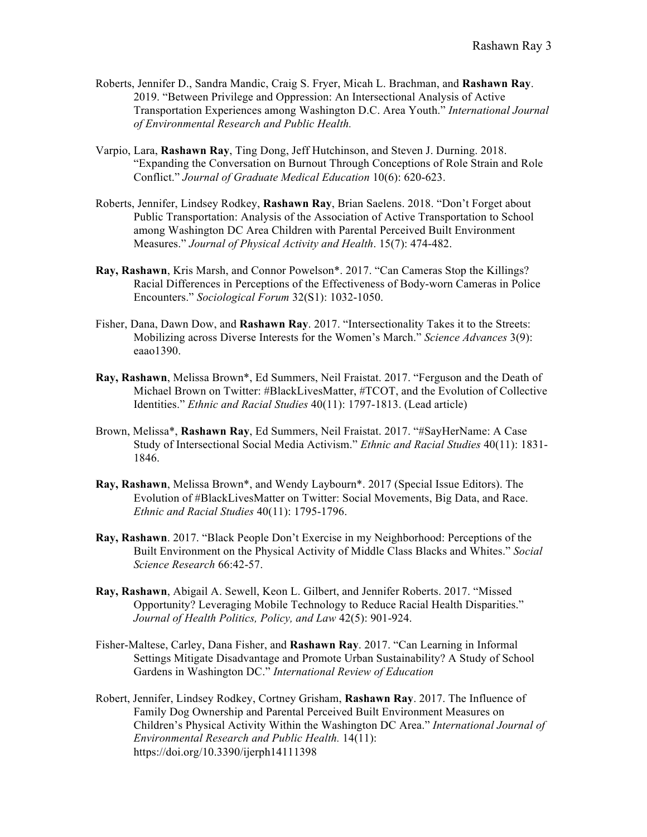- Roberts, Jennifer D., Sandra Mandic, Craig S. Fryer, Micah L. Brachman, and **Rashawn Ray**. 2019. "Between Privilege and Oppression: An Intersectional Analysis of Active Transportation Experiences among Washington D.C. Area Youth." *International Journal of Environmental Research and Public Health.*
- Varpio, Lara, **Rashawn Ray**, Ting Dong, Jeff Hutchinson, and Steven J. Durning. 2018. "Expanding the Conversation on Burnout Through Conceptions of Role Strain and Role Conflict." *Journal of Graduate Medical Education* 10(6): 620-623.
- Roberts, Jennifer, Lindsey Rodkey, **Rashawn Ray**, Brian Saelens. 2018. "Don't Forget about Public Transportation: Analysis of the Association of Active Transportation to School among Washington DC Area Children with Parental Perceived Built Environment Measures." *Journal of Physical Activity and Health*. 15(7): 474-482.
- **Ray, Rashawn**, Kris Marsh, and Connor Powelson\*. 2017. "Can Cameras Stop the Killings? Racial Differences in Perceptions of the Effectiveness of Body-worn Cameras in Police Encounters." *Sociological Forum* 32(S1): 1032-1050.
- Fisher, Dana, Dawn Dow, and **Rashawn Ray**. 2017. "Intersectionality Takes it to the Streets: Mobilizing across Diverse Interests for the Women's March." *Science Advances* 3(9): eaao1390.
- **Ray, Rashawn**, Melissa Brown\*, Ed Summers, Neil Fraistat. 2017. "Ferguson and the Death of Michael Brown on Twitter: #BlackLivesMatter, #TCOT, and the Evolution of Collective Identities." *Ethnic and Racial Studies* 40(11): 1797-1813. (Lead article)
- Brown, Melissa\*, **Rashawn Ray**, Ed Summers, Neil Fraistat. 2017. "#SayHerName: A Case Study of Intersectional Social Media Activism." *Ethnic and Racial Studies* 40(11): 1831- 1846.
- **Ray, Rashawn**, Melissa Brown\*, and Wendy Laybourn\*. 2017 (Special Issue Editors). The Evolution of #BlackLivesMatter on Twitter: Social Movements, Big Data, and Race. *Ethnic and Racial Studies* 40(11): 1795-1796.
- **Ray, Rashawn**. 2017. "Black People Don't Exercise in my Neighborhood: Perceptions of the Built Environment on the Physical Activity of Middle Class Blacks and Whites." *Social Science Research* 66:42-57.
- **Ray, Rashawn**, Abigail A. Sewell, Keon L. Gilbert, and Jennifer Roberts. 2017. "Missed Opportunity? Leveraging Mobile Technology to Reduce Racial Health Disparities." *Journal of Health Politics, Policy, and Law* 42(5): 901-924.
- Fisher-Maltese, Carley, Dana Fisher, and **Rashawn Ray**. 2017. "Can Learning in Informal Settings Mitigate Disadvantage and Promote Urban Sustainability? A Study of School Gardens in Washington DC." *International Review of Education*
- Robert, Jennifer, Lindsey Rodkey, Cortney Grisham, **Rashawn Ray**. 2017. The Influence of Family Dog Ownership and Parental Perceived Built Environment Measures on Children's Physical Activity Within the Washington DC Area." *International Journal of Environmental Research and Public Health.* 14(11): https://doi.org/10.3390/ijerph14111398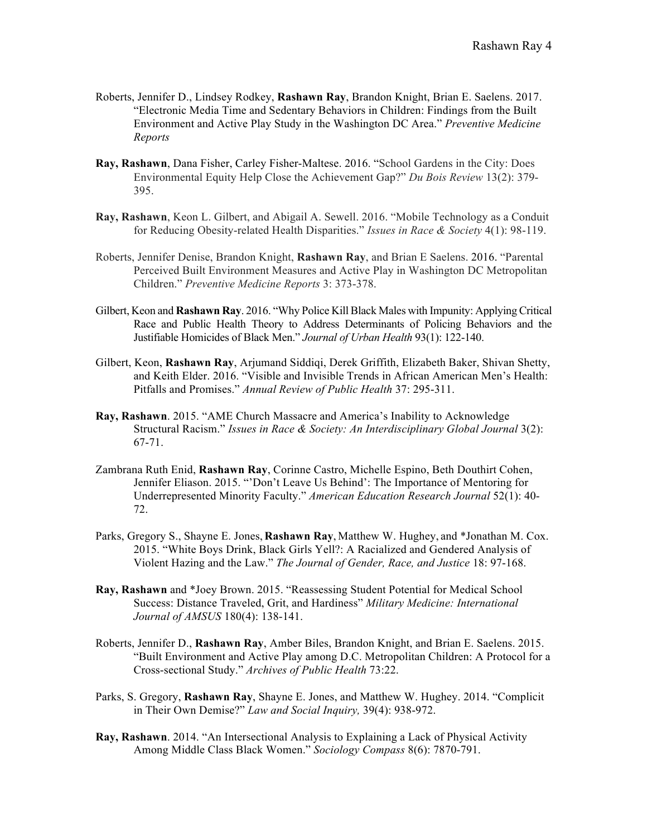- Roberts, Jennifer D., Lindsey Rodkey, **Rashawn Ray**, Brandon Knight, Brian E. Saelens. 2017. "Electronic Media Time and Sedentary Behaviors in Children: Findings from the Built Environment and Active Play Study in the Washington DC Area." *Preventive Medicine Reports*
- **Ray, Rashawn**, Dana Fisher, Carley Fisher-Maltese. 2016. "School Gardens in the City: Does Environmental Equity Help Close the Achievement Gap?" *Du Bois Review* 13(2): 379- 395.
- **Ray, Rashawn**, Keon L. Gilbert, and Abigail A. Sewell. 2016. "Mobile Technology as a Conduit for Reducing Obesity-related Health Disparities." *Issues in Race & Society* 4(1): 98-119.
- Roberts, Jennifer Denise, Brandon Knight, **Rashawn Ray**, and Brian E Saelens. 2016. "Parental Perceived Built Environment Measures and Active Play in Washington DC Metropolitan Children." *Preventive Medicine Reports* 3: 373-378.
- Gilbert, Keon and **Rashawn Ray**. 2016. "Why Police Kill Black Males with Impunity: Applying Critical Race and Public Health Theory to Address Determinants of Policing Behaviors and the Justifiable Homicides of Black Men." *Journal of Urban Health* 93(1): 122-140.
- Gilbert, Keon, **Rashawn Ray**, Arjumand Siddiqi, Derek Griffith, Elizabeth Baker, Shivan Shetty, and Keith Elder. 2016. "Visible and Invisible Trends in African American Men's Health: Pitfalls and Promises." *Annual Review of Public Health* 37: 295-311.
- **Ray, Rashawn**. 2015. "AME Church Massacre and America's Inability to Acknowledge Structural Racism." *Issues in Race & Society: An Interdisciplinary Global Journal* 3(2): 67-71.
- Zambrana Ruth Enid, **Rashawn Ray**, Corinne Castro, Michelle Espino, Beth Douthirt Cohen, Jennifer Eliason. 2015. "'Don't Leave Us Behind': The Importance of Mentoring for Underrepresented Minority Faculty." *American Education Research Journal* 52(1): 40- 72.
- Parks, Gregory S., Shayne E. Jones, **Rashawn Ray**, Matthew W. Hughey, and \*Jonathan M. Cox. 2015. "White Boys Drink, Black Girls Yell?: A Racialized and Gendered Analysis of Violent Hazing and the Law." *The Journal of Gender, Race, and Justice* 18: 97-168.
- **Ray, Rashawn** and \*Joey Brown. 2015. "Reassessing Student Potential for Medical School Success: Distance Traveled, Grit, and Hardiness" *Military Medicine: International Journal of AMSUS* 180(4): 138-141.
- Roberts, Jennifer D., **Rashawn Ray**, Amber Biles, Brandon Knight, and Brian E. Saelens. 2015. "Built Environment and Active Play among D.C. Metropolitan Children: A Protocol for a Cross-sectional Study." *Archives of Public Health* 73:22.
- Parks, S. Gregory, **Rashawn Ray**, Shayne E. Jones, and Matthew W. Hughey. 2014. "Complicit in Their Own Demise?" *Law and Social Inquiry,* 39(4): 938-972.
- **Ray, Rashawn**. 2014. "An Intersectional Analysis to Explaining a Lack of Physical Activity Among Middle Class Black Women." *Sociology Compass* 8(6): 7870-791.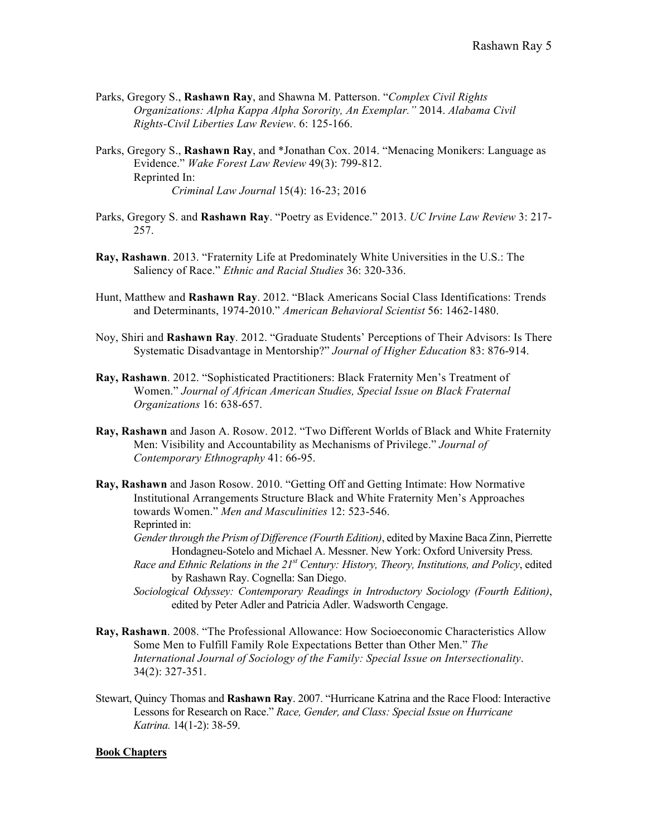- Parks, Gregory S., **Rashawn Ray**, and Shawna M. Patterson. "*Complex Civil Rights Organizations: Alpha Kappa Alpha Sorority, An Exemplar."* 2014. *Alabama Civil Rights-Civil Liberties Law Review*. 6: 125-166.
- Parks, Gregory S., **Rashawn Ray**, and \*Jonathan Cox. 2014. "Menacing Monikers: Language as Evidence." *Wake Forest Law Review* 49(3): 799-812. Reprinted In: *Criminal Law Journal* 15(4): 16-23; 2016
- Parks, Gregory S. and **Rashawn Ray**. "Poetry as Evidence." 2013. *UC Irvine Law Review* 3: 217- 257.
- **Ray, Rashawn**. 2013. "Fraternity Life at Predominately White Universities in the U.S.: The Saliency of Race." *Ethnic and Racial Studies* 36: 320-336.
- Hunt, Matthew and **Rashawn Ray**. 2012. "Black Americans Social Class Identifications: Trends and Determinants, 1974-2010." *American Behavioral Scientist* 56: 1462-1480.
- Noy, Shiri and **Rashawn Ray**. 2012. "Graduate Students' Perceptions of Their Advisors: Is There Systematic Disadvantage in Mentorship?" *Journal of Higher Education* 83: 876-914.
- **Ray, Rashawn**. 2012. "Sophisticated Practitioners: Black Fraternity Men's Treatment of Women." *Journal of African American Studies, Special Issue on Black Fraternal Organizations* 16: 638-657.
- **Ray, Rashawn** and Jason A. Rosow. 2012. "Two Different Worlds of Black and White Fraternity Men: Visibility and Accountability as Mechanisms of Privilege." *Journal of Contemporary Ethnography* 41: 66-95.
- **Ray, Rashawn** and Jason Rosow. 2010. "Getting Off and Getting Intimate: How Normative Institutional Arrangements Structure Black and White Fraternity Men's Approaches towards Women." *Men and Masculinities* 12: 523-546. Reprinted in:
	- *Gender through the Prism of Difference (Fourth Edition)*, edited by Maxine Baca Zinn, Pierrette Hondagneu-Sotelo and Michael A. Messner. New York: Oxford University Press.
	- *Race and Ethnic Relations in the 21st Century: History, Theory, Institutions, and Policy*, edited by Rashawn Ray. Cognella: San Diego.
	- *Sociological Odyssey: Contemporary Readings in Introductory Sociology (Fourth Edition)*, edited by Peter Adler and Patricia Adler. Wadsworth Cengage.
- **Ray, Rashawn**. 2008. "The Professional Allowance: How Socioeconomic Characteristics Allow Some Men to Fulfill Family Role Expectations Better than Other Men." *The International Journal of Sociology of the Family: Special Issue on Intersectionality*. 34(2): 327-351.
- Stewart, Quincy Thomas and **Rashawn Ray**. 2007. "Hurricane Katrina and the Race Flood: Interactive Lessons for Research on Race." *Race, Gender, and Class: Special Issue on Hurricane Katrina.* 14(1-2): 38-59.

#### **Book Chapters**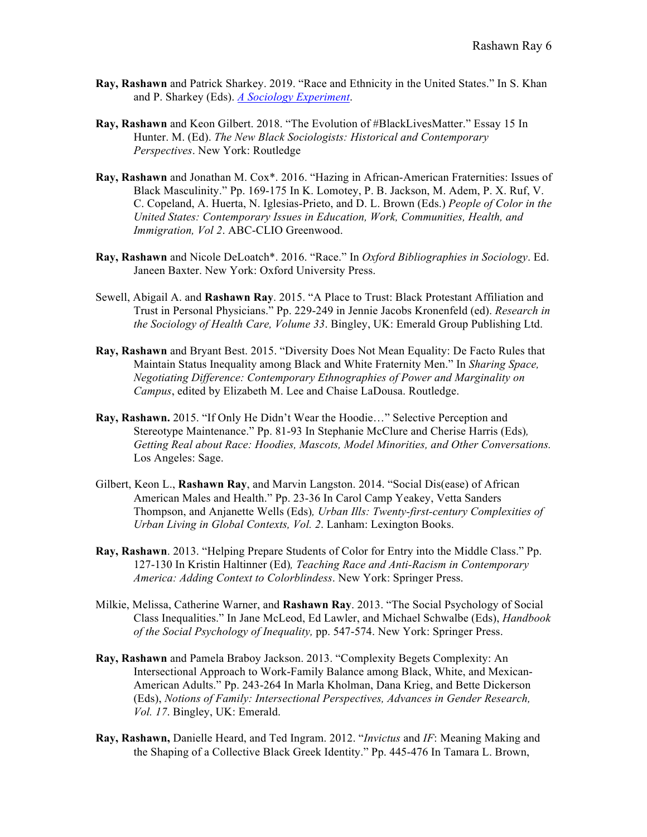- **Ray, Rashawn** and Patrick Sharkey. 2019. "Race and Ethnicity in the United States." In S. Khan and P. Sharkey (Eds). *A Sociology Experiment*.
- **Ray, Rashawn** and Keon Gilbert. 2018. "The Evolution of #BlackLivesMatter." Essay 15 In Hunter. M. (Ed). *The New Black Sociologists: Historical and Contemporary Perspectives*. New York: Routledge
- **Ray, Rashawn** and Jonathan M. Cox\*. 2016. "Hazing in African-American Fraternities: Issues of Black Masculinity." Pp. 169-175 In K. Lomotey, P. B. Jackson, M. Adem, P. X. Ruf, V. C. Copeland, A. Huerta, N. Iglesias-Prieto, and D. L. Brown (Eds.) *People of Color in the United States: Contemporary Issues in Education, Work, Communities, Health, and Immigration, Vol 2*. ABC-CLIO Greenwood.
- **Ray, Rashawn** and Nicole DeLoatch\*. 2016. "Race." In *Oxford Bibliographies in Sociology*. Ed. Janeen Baxter. New York: Oxford University Press.
- Sewell, Abigail A. and **Rashawn Ray**. 2015. "A Place to Trust: Black Protestant Affiliation and Trust in Personal Physicians." Pp. 229-249 in Jennie Jacobs Kronenfeld (ed). *Research in the Sociology of Health Care, Volume 33*. Bingley, UK: Emerald Group Publishing Ltd.
- **Ray, Rashawn** and Bryant Best. 2015. "Diversity Does Not Mean Equality: De Facto Rules that Maintain Status Inequality among Black and White Fraternity Men." In *Sharing Space, Negotiating Difference: Contemporary Ethnographies of Power and Marginality on Campus*, edited by Elizabeth M. Lee and Chaise LaDousa. Routledge.
- **Ray, Rashawn.** 2015. "If Only He Didn't Wear the Hoodie…" Selective Perception and Stereotype Maintenance." Pp. 81-93 In Stephanie McClure and Cherise Harris (Eds)*, Getting Real about Race: Hoodies, Mascots, Model Minorities, and Other Conversations.* Los Angeles: Sage.
- Gilbert, Keon L., **Rashawn Ray**, and Marvin Langston. 2014. "Social Dis(ease) of African American Males and Health." Pp. 23-36 In Carol Camp Yeakey, Vetta Sanders Thompson, and Anjanette Wells (Eds)*, Urban Ills: Twenty-first-century Complexities of Urban Living in Global Contexts, Vol. 2*. Lanham: Lexington Books.
- **Ray, Rashawn**. 2013. "Helping Prepare Students of Color for Entry into the Middle Class." Pp. 127-130 In Kristin Haltinner (Ed)*, Teaching Race and Anti-Racism in Contemporary America: Adding Context to Colorblindess*. New York: Springer Press.
- Milkie, Melissa, Catherine Warner, and **Rashawn Ray**. 2013. "The Social Psychology of Social Class Inequalities." In Jane McLeod, Ed Lawler, and Michael Schwalbe (Eds), *Handbook of the Social Psychology of Inequality,* pp. 547-574. New York: Springer Press.
- **Ray, Rashawn** and Pamela Braboy Jackson. 2013. "Complexity Begets Complexity: An Intersectional Approach to Work-Family Balance among Black, White, and Mexican-American Adults." Pp. 243-264 In Marla Kholman, Dana Krieg, and Bette Dickerson (Eds), *Notions of Family: Intersectional Perspectives, Advances in Gender Research, Vol. 17*. Bingley, UK: Emerald.
- **Ray, Rashawn,** Danielle Heard, and Ted Ingram. 2012. "*Invictus* and *IF*: Meaning Making and the Shaping of a Collective Black Greek Identity." Pp. 445-476 In Tamara L. Brown,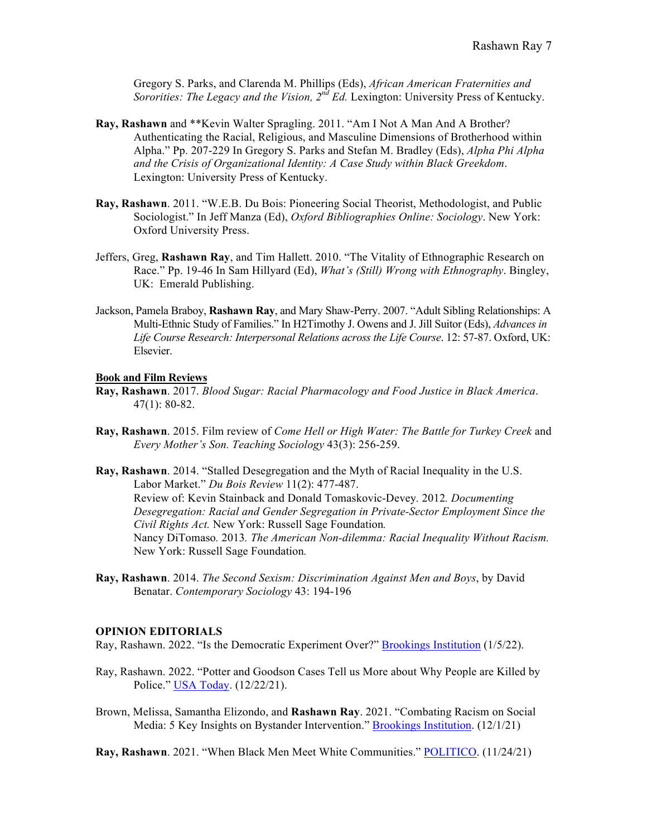Gregory S. Parks, and Clarenda M. Phillips (Eds), *African American Fraternities and Sororities: The Legacy and the Vision, 2nd Ed.* Lexington: University Press of Kentucky.

- **Ray, Rashawn** and \*\*Kevin Walter Spragling. 2011. "Am I Not A Man And A Brother? Authenticating the Racial, Religious, and Masculine Dimensions of Brotherhood within Alpha." Pp. 207-229 In Gregory S. Parks and Stefan M. Bradley (Eds), *Alpha Phi Alpha and the Crisis of Organizational Identity: A Case Study within Black Greekdom*. Lexington: University Press of Kentucky.
- **Ray, Rashawn**. 2011. "W.E.B. Du Bois: Pioneering Social Theorist, Methodologist, and Public Sociologist." In Jeff Manza (Ed), *Oxford Bibliographies Online: Sociology*. New York: Oxford University Press.
- Jeffers, Greg, **Rashawn Ray**, and Tim Hallett. 2010. "The Vitality of Ethnographic Research on Race." Pp. 19-46 In Sam Hillyard (Ed), *What's (Still) Wrong with Ethnography*. Bingley, UK: Emerald Publishing.
- Jackson, Pamela Braboy, **Rashawn Ray**, and Mary Shaw-Perry. 2007. "Adult Sibling Relationships: A Multi-Ethnic Study of Families." In H2Timothy J. Owens and J. Jill Suitor (Eds), *Advances in Life Course Research: Interpersonal Relations across the Life Course*. 12: 57-87. Oxford, UK: Elsevier.

#### **Book and Film Reviews**

- **Ray, Rashawn**. 2017. *Blood Sugar: Racial Pharmacology and Food Justice in Black America*. 47(1): 80-82.
- **Ray, Rashawn**. 2015. Film review of *Come Hell or High Water: The Battle for Turkey Creek* and *Every Mother's Son. Teaching Sociology* 43(3): 256-259.
- **Ray, Rashawn**. 2014. "Stalled Desegregation and the Myth of Racial Inequality in the U.S. Labor Market." *Du Bois Review* 11(2): 477-487. Review of: Kevin Stainback and Donald Tomaskovic-Devey*.* 2012*. Documenting Desegregation: Racial and Gender Segregation in Private-Sector Employment Since the Civil Rights Act.* New York: Russell Sage Foundation*.* Nancy DiTomaso*.* 2013*. The American Non-dilemma: Racial Inequality Without Racism.* New York: Russell Sage Foundation*.*
- **Ray, Rashawn**. 2014. *The Second Sexism: Discrimination Against Men and Boys*, by David Benatar. *Contemporary Sociology* 43: 194-196

#### **OPINION EDITORIALS**

Ray, Rashawn. 2022. "Is the Democratic Experiment Over?" **Brookings Institution** (1/5/22).

- Ray, Rashawn. 2022. "Potter and Goodson Cases Tell us More about Why People are Killed by Police." USA Today. (12/22/21).
- Brown, Melissa, Samantha Elizondo, and **Rashawn Ray**. 2021. "Combating Racism on Social Media: 5 Key Insights on Bystander Intervention." **Brookings Institution.** (12/1/21)

**Ray, Rashawn**. 2021. "When Black Men Meet White Communities." POLITICO. (11/24/21)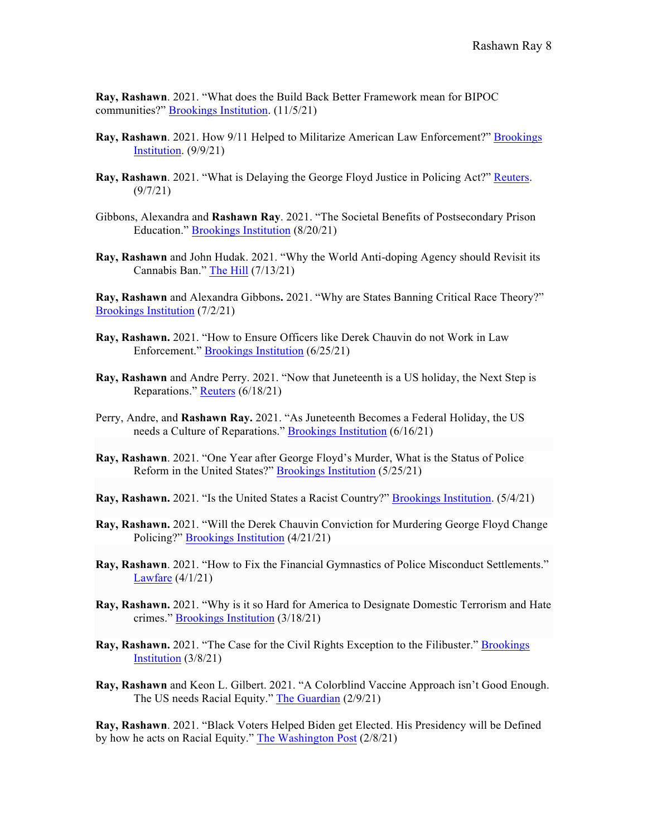**Ray, Rashawn**. 2021. "What does the Build Back Better Framework mean for BIPOC communities?" Brookings Institution. (11/5/21)

- **Ray, Rashawn**. 2021. How 9/11 Helped to Militarize American Law Enforcement?" Brookings **Institution.** (9/9/21)
- **Ray, Rashawn**. 2021. "What is Delaying the George Floyd Justice in Policing Act?" Reuters. (9/7/21)
- Gibbons, Alexandra and **Rashawn Ray**. 2021. "The Societal Benefits of Postsecondary Prison Education." Brookings Institution (8/20/21)
- **Ray, Rashawn** and John Hudak. 2021. "Why the World Anti-doping Agency should Revisit its Cannabis Ban." The Hill (7/13/21)

**Ray, Rashawn** and Alexandra Gibbons**.** 2021. "Why are States Banning Critical Race Theory?" Brookings Institution (7/2/21)

- **Ray, Rashawn.** 2021. "How to Ensure Officers like Derek Chauvin do not Work in Law Enforcement." Brookings Institution (6/25/21)
- **Ray, Rashawn** and Andre Perry. 2021. "Now that Juneteenth is a US holiday, the Next Step is Reparations." Reuters (6/18/21)
- Perry, Andre, and **Rashawn Ray.** 2021. "As Juneteenth Becomes a Federal Holiday, the US needs a Culture of Reparations." Brookings Institution (6/16/21)
- **Ray, Rashawn**. 2021. "One Year after George Floyd's Murder, What is the Status of Police Reform in the United States?" Brookings Institution (5/25/21)
- **Ray, Rashawn.** 2021. "Is the United States a Racist Country?" Brookings Institution. (5/4/21)
- **Ray, Rashawn.** 2021. "Will the Derek Chauvin Conviction for Murdering George Floyd Change Policing?" Brookings Institution (4/21/21)
- **Ray, Rashawn**. 2021. "How to Fix the Financial Gymnastics of Police Misconduct Settlements." Lawfare (4/1/21)
- **Ray, Rashawn.** 2021. "Why is it so Hard for America to Designate Domestic Terrorism and Hate crimes." Brookings Institution (3/18/21)
- Ray, Rashawn. 2021. "The Case for the Civil Rights Exception to the Filibuster." **Brookings** Institution (3/8/21)
- **Ray, Rashawn** and Keon L. Gilbert. 2021. "A Colorblind Vaccine Approach isn't Good Enough. The US needs Racial Equity." The Guardian (2/9/21)

**Ray, Rashawn**. 2021. "Black Voters Helped Biden get Elected. His Presidency will be Defined by how he acts on Racial Equity." The Washington Post (2/8/21)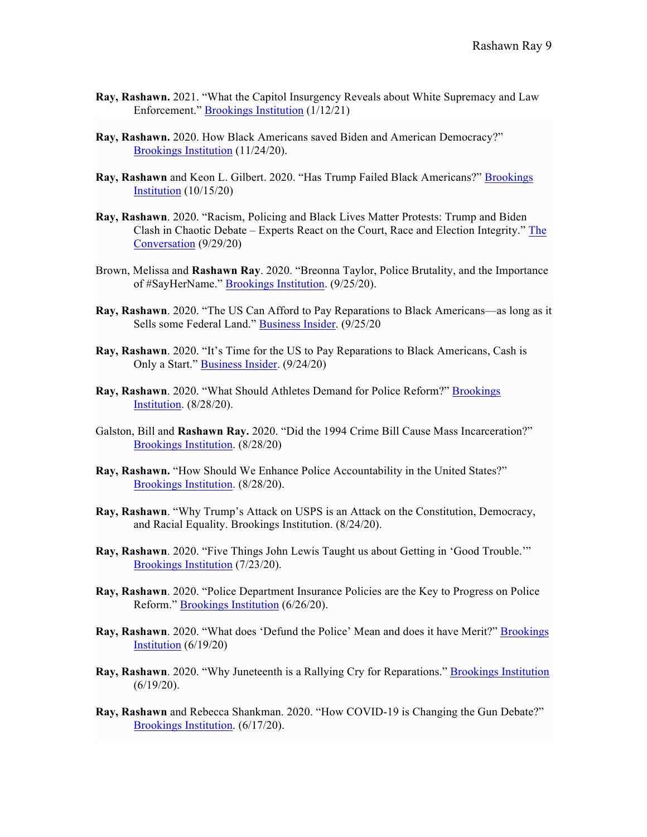- **Ray, Rashawn.** 2021. "What the Capitol Insurgency Reveals about White Supremacy and Law Enforcement." Brookings Institution (1/12/21)
- **Ray, Rashawn.** 2020. How Black Americans saved Biden and American Democracy?" Brookings Institution (11/24/20).
- **Ray, Rashawn** and Keon L. Gilbert. 2020. "Has Trump Failed Black Americans?" Brookings Institution (10/15/20)
- **Ray, Rashawn**. 2020. "Racism, Policing and Black Lives Matter Protests: Trump and Biden Clash in Chaotic Debate – Experts React on the Court, Race and Election Integrity." The Conversation (9/29/20)
- Brown, Melissa and **Rashawn Ray**. 2020. "Breonna Taylor, Police Brutality, and the Importance of #SayHerName." Brookings Institution. (9/25/20).
- **Ray, Rashawn**. 2020. "The US Can Afford to Pay Reparations to Black Americans—as long as it Sells some Federal Land." **Business Insider.** (9/25/20)
- **Ray, Rashawn**. 2020. "It's Time for the US to Pay Reparations to Black Americans, Cash is Only a Start." Business Insider. (9/24/20)
- **Ray, Rashawn**. 2020. "What Should Athletes Demand for Police Reform?" Brookings Institution. (8/28/20).
- Galston, Bill and **Rashawn Ray.** 2020. "Did the 1994 Crime Bill Cause Mass Incarceration?" Brookings Institution. (8/28/20)
- **Ray, Rashawn.** "How Should We Enhance Police Accountability in the United States?" Brookings Institution. (8/28/20).
- **Ray, Rashawn**. "Why Trump's Attack on USPS is an Attack on the Constitution, Democracy, and Racial Equality. Brookings Institution. (8/24/20).
- **Ray, Rashawn**. 2020. "Five Things John Lewis Taught us about Getting in 'Good Trouble.'" Brookings Institution (7/23/20).
- **Ray, Rashawn**. 2020. "Police Department Insurance Policies are the Key to Progress on Police Reform." Brookings Institution (6/26/20).
- **Ray, Rashawn**. 2020. "What does 'Defund the Police' Mean and does it have Merit?" Brookings Institution  $(6/19/20)$
- **Ray, Rashawn**. 2020. "Why Juneteenth is a Rallying Cry for Reparations." Brookings Institution (6/19/20).
- **Ray, Rashawn** and Rebecca Shankman. 2020. "How COVID-19 is Changing the Gun Debate?" Brookings Institution. (6/17/20).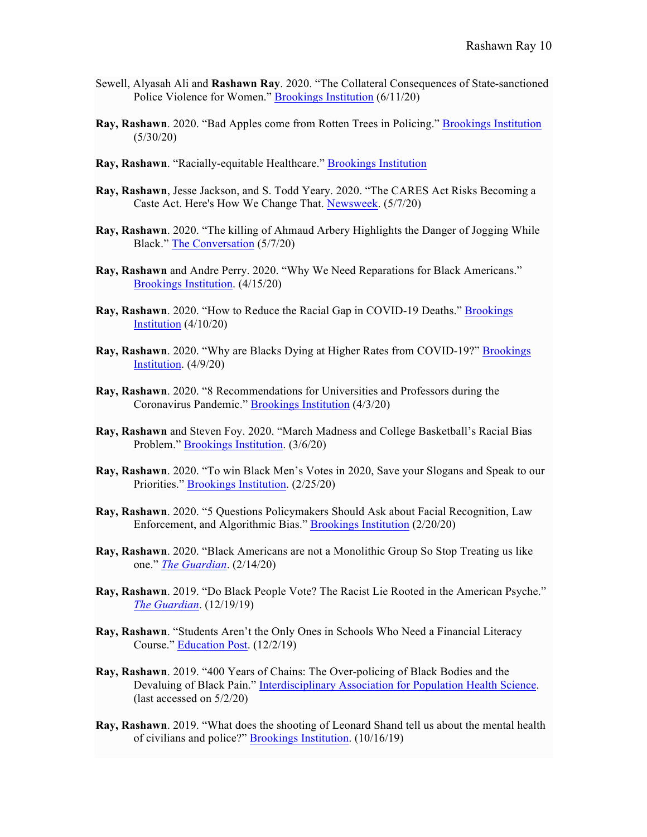- Sewell, Alyasah Ali and **Rashawn Ray**. 2020. "The Collateral Consequences of State-sanctioned Police Violence for Women." Brookings Institution (6/11/20)
- **Ray, Rashawn**. 2020. "Bad Apples come from Rotten Trees in Policing." Brookings Institution  $(5/30/20)$
- **Ray, Rashawn**. "Racially-equitable Healthcare." Brookings Institution
- **Ray, Rashawn**, Jesse Jackson, and S. Todd Yeary. 2020. "The CARES Act Risks Becoming a Caste Act. Here's How We Change That. Newsweek. (5/7/20)
- **Ray, Rashawn**. 2020. "The killing of Ahmaud Arbery Highlights the Danger of Jogging While Black." The Conversation (5/7/20)
- **Ray, Rashawn** and Andre Perry. 2020. "Why We Need Reparations for Black Americans." Brookings Institution. (4/15/20)
- **Ray, Rashawn**. 2020. "How to Reduce the Racial Gap in COVID-19 Deaths." Brookings Institution (4/10/20)
- **Ray, Rashawn**. 2020. "Why are Blacks Dying at Higher Rates from COVID-19?" Brookings Institution. (4/9/20)
- **Ray, Rashawn**. 2020. "8 Recommendations for Universities and Professors during the Coronavirus Pandemic." Brookings Institution (4/3/20)
- **Ray, Rashawn** and Steven Foy. 2020. "March Madness and College Basketball's Racial Bias Problem." Brookings Institution. (3/6/20)
- **Ray, Rashawn**. 2020. "To win Black Men's Votes in 2020, Save your Slogans and Speak to our Priorities." Brookings Institution. (2/25/20)
- **Ray, Rashawn**. 2020. "5 Questions Policymakers Should Ask about Facial Recognition, Law Enforcement, and Algorithmic Bias." Brookings Institution (2/20/20)
- **Ray, Rashawn**. 2020. "Black Americans are not a Monolithic Group So Stop Treating us like one." *The Guardian*. (2/14/20)
- **Ray, Rashawn**. 2019. "Do Black People Vote? The Racist Lie Rooted in the American Psyche." *The Guardian*. (12/19/19)
- **Ray, Rashawn**. "Students Aren't the Only Ones in Schools Who Need a Financial Literacy Course." Education Post. (12/2/19)
- **Ray, Rashawn**. 2019. "400 Years of Chains: The Over-policing of Black Bodies and the Devaluing of Black Pain." Interdisciplinary Association for Population Health Science. (last accessed on 5/2/20)
- **Ray, Rashawn**. 2019. "What does the shooting of Leonard Shand tell us about the mental health of civilians and police?" Brookings Institution. (10/16/19)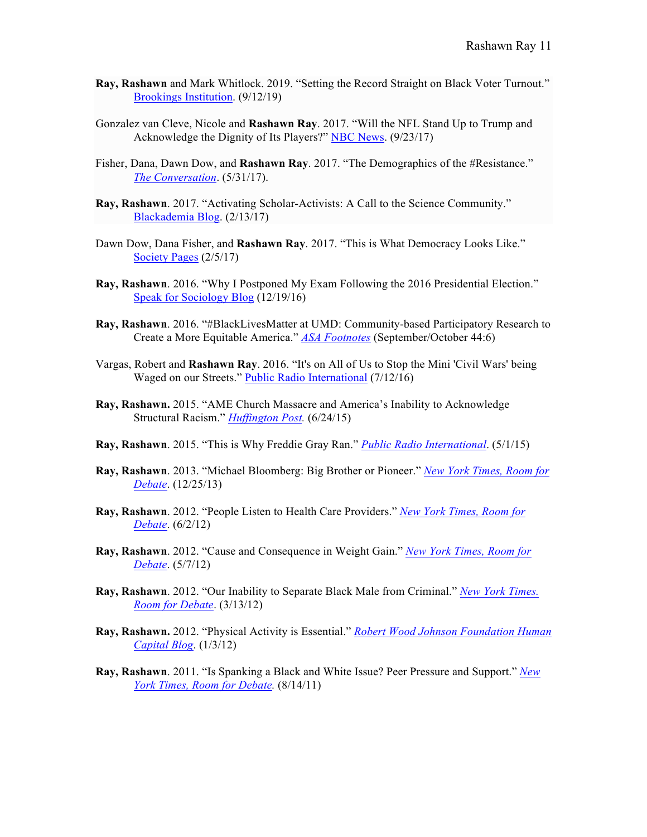- **Ray, Rashawn** and Mark Whitlock. 2019. "Setting the Record Straight on Black Voter Turnout." Brookings Institution. (9/12/19)
- Gonzalez van Cleve, Nicole and **Rashawn Ray**. 2017. "Will the NFL Stand Up to Trump and Acknowledge the Dignity of Its Players?" NBC News. (9/23/17)
- Fisher, Dana, Dawn Dow, and **Rashawn Ray**. 2017. "The Demographics of the #Resistance." *The Conversation*. (5/31/17).
- **Ray, Rashawn**. 2017. "Activating Scholar-Activists: A Call to the Science Community." Blackademia Blog. (2/13/17)
- Dawn Dow, Dana Fisher, and **Rashawn Ray**. 2017. "This is What Democracy Looks Like." Society Pages (2/5/17)
- **Ray, Rashawn**. 2016. "Why I Postponed My Exam Following the 2016 Presidential Election." Speak for Sociology Blog (12/19/16)
- **Ray, Rashawn**. 2016. "#BlackLivesMatter at UMD: Community-based Participatory Research to Create a More Equitable America." *ASA Footnotes* (September/October 44:6)
- Vargas, Robert and **Rashawn Ray**. 2016. "It's on All of Us to Stop the Mini 'Civil Wars' being Waged on our Streets." Public Radio International (7/12/16)
- **Ray, Rashawn.** 2015. "AME Church Massacre and America's Inability to Acknowledge Structural Racism." *Huffington Post.* (6/24/15)
- **Ray, Rashawn**. 2015. "This is Why Freddie Gray Ran." *Public Radio International*. (5/1/15)
- **Ray, Rashawn**. 2013. "Michael Bloomberg: Big Brother or Pioneer." *New York Times, Room for Debate*. (12/25/13)
- **Ray, Rashawn**. 2012. "People Listen to Health Care Providers." *New York Times, Room for Debate*. (6/2/12)
- **Ray, Rashawn**. 2012. "Cause and Consequence in Weight Gain." *New York Times, Room for Debate*. (5/7/12)
- **Ray, Rashawn**. 2012. "Our Inability to Separate Black Male from Criminal." *New York Times. Room for Debate*. (3/13/12)
- **Ray, Rashawn.** 2012. "Physical Activity is Essential." *Robert Wood Johnson Foundation Human Capital Blog*. (1/3/12)
- **Ray, Rashawn**. 2011. "Is Spanking a Black and White Issue? Peer Pressure and Support." *New York Times, Room for Debate.* (8/14/11)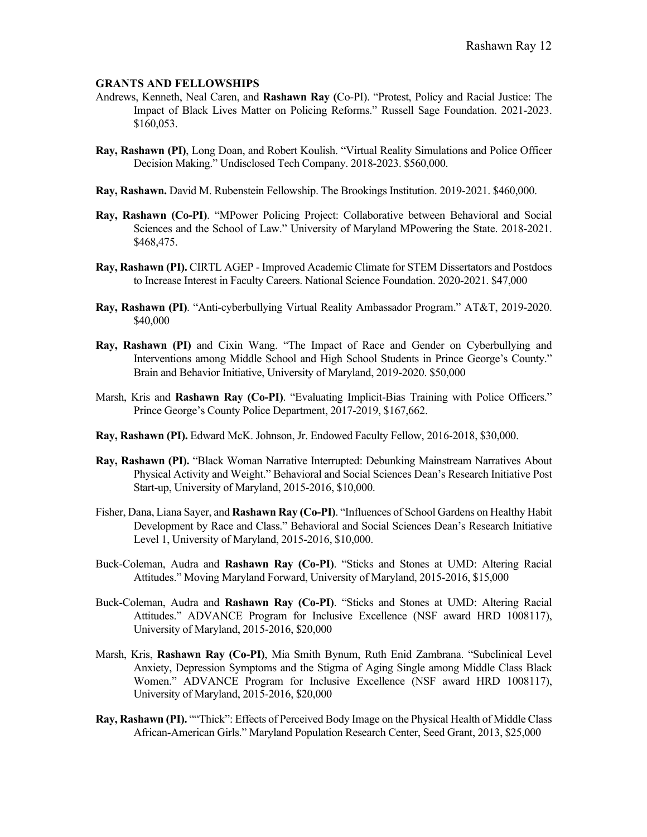### **GRANTS AND FELLOWSHIPS**

- Andrews, Kenneth, Neal Caren, and **Rashawn Ray (**Co-PI). "Protest, Policy and Racial Justice: The Impact of Black Lives Matter on Policing Reforms." Russell Sage Foundation. 2021-2023. \$160,053.
- **Ray, Rashawn (PI)**, Long Doan, and Robert Koulish. "Virtual Reality Simulations and Police Officer Decision Making." Undisclosed Tech Company. 2018-2023. \$560,000.
- **Ray, Rashawn.** David M. Rubenstein Fellowship. The Brookings Institution. 2019-2021. \$460,000.
- **Ray, Rashawn (Co-PI)**. "MPower Policing Project: Collaborative between Behavioral and Social Sciences and the School of Law." University of Maryland MPowering the State. 2018-2021. \$468,475.
- **Ray, Rashawn (PI).** CIRTL AGEP Improved Academic Climate for STEM Dissertators and Postdocs to Increase Interest in Faculty Careers. National Science Foundation. 2020-2021. \$47,000
- **Ray, Rashawn (PI)**. "Anti-cyberbullying Virtual Reality Ambassador Program." AT&T, 2019-2020. \$40,000
- **Ray, Rashawn (PI)** and Cixin Wang. "The Impact of Race and Gender on Cyberbullying and Interventions among Middle School and High School Students in Prince George's County." Brain and Behavior Initiative, University of Maryland, 2019-2020. \$50,000
- Marsh, Kris and **Rashawn Ray (Co-PI)**. "Evaluating Implicit-Bias Training with Police Officers." Prince George's County Police Department, 2017-2019, \$167,662.
- **Ray, Rashawn (PI).** Edward McK. Johnson, Jr. Endowed Faculty Fellow, 2016-2018, \$30,000.
- **Ray, Rashawn (PI).** "Black Woman Narrative Interrupted: Debunking Mainstream Narratives About Physical Activity and Weight." Behavioral and Social Sciences Dean's Research Initiative Post Start-up, University of Maryland, 2015-2016, \$10,000.
- Fisher, Dana, Liana Sayer, and **Rashawn Ray (Co-PI)**. "Influences of School Gardens on Healthy Habit Development by Race and Class." Behavioral and Social Sciences Dean's Research Initiative Level 1, University of Maryland, 2015-2016, \$10,000.
- Buck-Coleman, Audra and **Rashawn Ray (Co-PI)**. "Sticks and Stones at UMD: Altering Racial Attitudes." Moving Maryland Forward, University of Maryland, 2015-2016, \$15,000
- Buck-Coleman, Audra and **Rashawn Ray (Co-PI)**. "Sticks and Stones at UMD: Altering Racial Attitudes." ADVANCE Program for Inclusive Excellence (NSF award HRD 1008117), University of Maryland, 2015-2016, \$20,000
- Marsh, Kris, **Rashawn Ray (Co-PI)**, Mia Smith Bynum, Ruth Enid Zambrana. "Subclinical Level Anxiety, Depression Symptoms and the Stigma of Aging Single among Middle Class Black Women." ADVANCE Program for Inclusive Excellence (NSF award HRD 1008117), University of Maryland, 2015-2016, \$20,000
- **Ray, Rashawn (PI).** ""Thick": Effects of Perceived Body Image on the Physical Health of Middle Class African-American Girls." Maryland Population Research Center, Seed Grant, 2013, \$25,000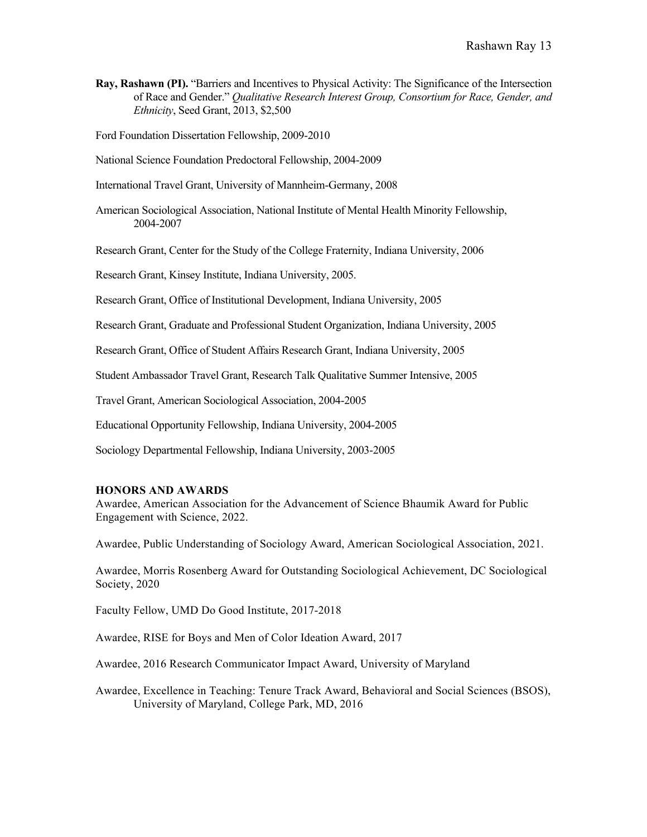**Ray, Rashawn (PI).** "Barriers and Incentives to Physical Activity: The Significance of the Intersection of Race and Gender." *Qualitative Research Interest Group, Consortium for Race, Gender, and Ethnicity*, Seed Grant, 2013, \$2,500

Ford Foundation Dissertation Fellowship, 2009-2010

National Science Foundation Predoctoral Fellowship, 2004-2009

International Travel Grant, University of Mannheim-Germany, 2008

American Sociological Association, National Institute of Mental Health Minority Fellowship, 2004-2007

Research Grant, Center for the Study of the College Fraternity, Indiana University, 2006

Research Grant, Kinsey Institute, Indiana University, 2005.

Research Grant, Office of Institutional Development, Indiana University, 2005

Research Grant, Graduate and Professional Student Organization, Indiana University, 2005

Research Grant, Office of Student Affairs Research Grant, Indiana University, 2005

Student Ambassador Travel Grant, Research Talk Qualitative Summer Intensive, 2005

Travel Grant, American Sociological Association, 2004-2005

Educational Opportunity Fellowship, Indiana University, 2004-2005

Sociology Departmental Fellowship, Indiana University, 2003-2005

#### **HONORS AND AWARDS**

Awardee, American Association for the Advancement of Science Bhaumik Award for Public Engagement with Science, 2022.

Awardee, Public Understanding of Sociology Award, American Sociological Association, 2021.

Awardee, Morris Rosenberg Award for Outstanding Sociological Achievement, DC Sociological Society, 2020

Faculty Fellow, UMD Do Good Institute, 2017-2018

Awardee, RISE for Boys and Men of Color Ideation Award, 2017

Awardee, 2016 Research Communicator Impact Award, University of Maryland

Awardee, Excellence in Teaching: Tenure Track Award, Behavioral and Social Sciences (BSOS), University of Maryland, College Park, MD, 2016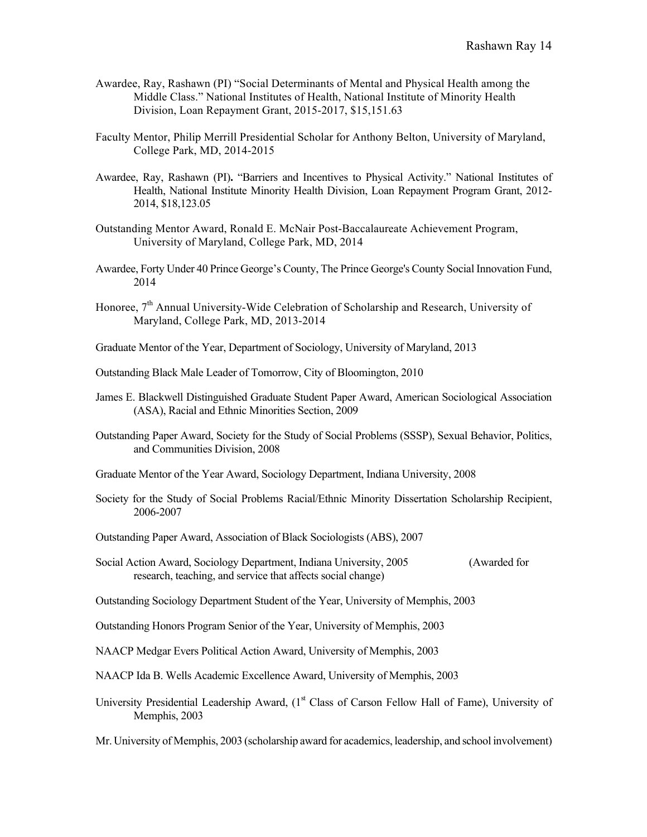- Awardee, Ray, Rashawn (PI) "Social Determinants of Mental and Physical Health among the Middle Class." National Institutes of Health, National Institute of Minority Health Division, Loan Repayment Grant, 2015-2017, \$15,151.63
- Faculty Mentor, Philip Merrill Presidential Scholar for Anthony Belton, University of Maryland, College Park, MD, 2014-2015
- Awardee, Ray, Rashawn (PI)**.** "Barriers and Incentives to Physical Activity." National Institutes of Health, National Institute Minority Health Division, Loan Repayment Program Grant, 2012- 2014, \$18,123.05
- Outstanding Mentor Award, Ronald E. McNair Post-Baccalaureate Achievement Program, University of Maryland, College Park, MD, 2014
- Awardee, Forty Under 40 Prince George's County, The Prince George's County Social Innovation Fund, 2014
- Honoree,  $7<sup>th</sup>$  Annual University-Wide Celebration of Scholarship and Research, University of Maryland, College Park, MD, 2013-2014
- Graduate Mentor of the Year, Department of Sociology, University of Maryland, 2013
- Outstanding Black Male Leader of Tomorrow, City of Bloomington, 2010
- James E. Blackwell Distinguished Graduate Student Paper Award, American Sociological Association (ASA), Racial and Ethnic Minorities Section, 2009
- Outstanding Paper Award, Society for the Study of Social Problems (SSSP), Sexual Behavior, Politics, and Communities Division, 2008
- Graduate Mentor of the Year Award, Sociology Department, Indiana University, 2008
- Society for the Study of Social Problems Racial/Ethnic Minority Dissertation Scholarship Recipient, 2006-2007
- Outstanding Paper Award, Association of Black Sociologists (ABS), 2007
- Social Action Award, Sociology Department, Indiana University, 2005 (Awarded for research, teaching, and service that affects social change)
- Outstanding Sociology Department Student of the Year, University of Memphis, 2003
- Outstanding Honors Program Senior of the Year, University of Memphis, 2003
- NAACP Medgar Evers Political Action Award, University of Memphis, 2003
- NAACP Ida B. Wells Academic Excellence Award, University of Memphis, 2003
- University Presidential Leadership Award, (1<sup>st</sup> Class of Carson Fellow Hall of Fame), University of Memphis, 2003

Mr. University of Memphis, 2003 (scholarship award for academics, leadership, and school involvement)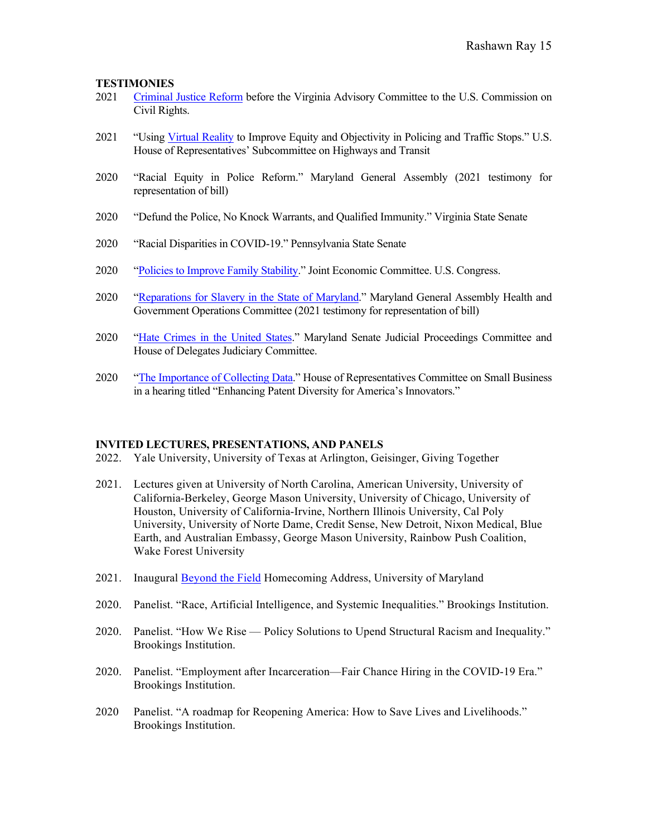## **TESTIMONIES**

- 2021 Criminal Justice Reform before the Virginia Advisory Committee to the U.S. Commission on Civil Rights.
- 2021 "Using Virtual Reality to Improve Equity and Objectivity in Policing and Traffic Stops." U.S. House of Representatives' Subcommittee on Highways and Transit
- 2020 "Racial Equity in Police Reform." Maryland General Assembly (2021 testimony for representation of bill)
- 2020 "Defund the Police, No Knock Warrants, and Qualified Immunity." Virginia State Senate
- 2020 "Racial Disparities in COVID-19." Pennsylvania State Senate
- 2020 "Policies to Improve Family Stability." Joint Economic Committee. U.S. Congress.
- 2020 "Reparations for Slavery in the State of Maryland." Maryland General Assembly Health and Government Operations Committee (2021 testimony for representation of bill)
- 2020 "Hate Crimes in the United States." Maryland Senate Judicial Proceedings Committee and House of Delegates Judiciary Committee.
- 2020 "The Importance of Collecting Data." House of Representatives Committee on Small Business in a hearing titled "Enhancing Patent Diversity for America's Innovators."

#### **INVITED LECTURES, PRESENTATIONS, AND PANELS**

- 2022. Yale University, University of Texas at Arlington, Geisinger, Giving Together
- 2021. Lectures given at University of North Carolina, American University, University of California-Berkeley, George Mason University, University of Chicago, University of Houston, University of California-Irvine, Northern Illinois University, Cal Poly University, University of Norte Dame, Credit Sense, New Detroit, Nixon Medical, Blue Earth, and Australian Embassy, George Mason University, Rainbow Push Coalition, Wake Forest University
- 2021. Inaugural Beyond the Field Homecoming Address, University of Maryland
- 2020. Panelist. "Race, Artificial Intelligence, and Systemic Inequalities." Brookings Institution.
- 2020. Panelist. "How We Rise Policy Solutions to Upend Structural Racism and Inequality." Brookings Institution.
- 2020. Panelist. "Employment after Incarceration—Fair Chance Hiring in the COVID-19 Era." Brookings Institution.
- 2020 Panelist. "A roadmap for Reopening America: How to Save Lives and Livelihoods." Brookings Institution.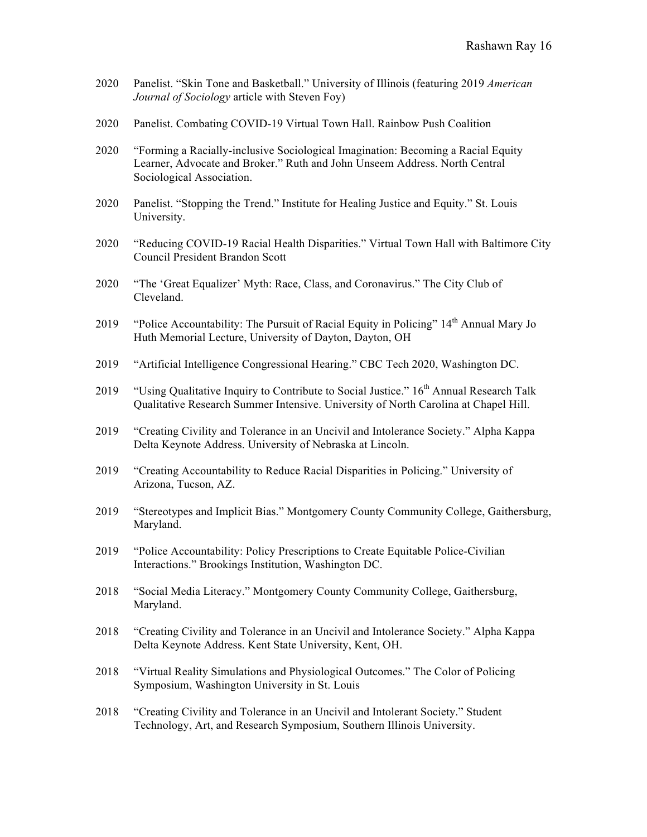- 2020 Panelist. "Skin Tone and Basketball." University of Illinois (featuring 2019 *American Journal of Sociology* article with Steven Foy)
- 2020 Panelist. Combating COVID-19 Virtual Town Hall. Rainbow Push Coalition
- 2020 "Forming a Racially-inclusive Sociological Imagination: Becoming a Racial Equity Learner, Advocate and Broker." Ruth and John Unseem Address. North Central Sociological Association.
- 2020 Panelist. "Stopping the Trend." Institute for Healing Justice and Equity." St. Louis University.
- 2020 "Reducing COVID-19 Racial Health Disparities." Virtual Town Hall with Baltimore City Council President Brandon Scott
- 2020 "The 'Great Equalizer' Myth: Race, Class, and Coronavirus." The City Club of Cleveland.
- 2019 "Police Accountability: The Pursuit of Racial Equity in Policing" 14<sup>th</sup> Annual Mary Jo Huth Memorial Lecture, University of Dayton, Dayton, OH
- 2019 "Artificial Intelligence Congressional Hearing." CBC Tech 2020, Washington DC.
- 2019 "Using Qualitative Inquiry to Contribute to Social Justice." 16<sup>th</sup> Annual Research Talk Qualitative Research Summer Intensive. University of North Carolina at Chapel Hill.
- 2019 "Creating Civility and Tolerance in an Uncivil and Intolerance Society." Alpha Kappa Delta Keynote Address. University of Nebraska at Lincoln.
- 2019 "Creating Accountability to Reduce Racial Disparities in Policing." University of Arizona, Tucson, AZ.
- 2019 "Stereotypes and Implicit Bias." Montgomery County Community College, Gaithersburg, Maryland.
- 2019 "Police Accountability: Policy Prescriptions to Create Equitable Police-Civilian Interactions." Brookings Institution, Washington DC.
- 2018 "Social Media Literacy." Montgomery County Community College, Gaithersburg, Maryland.
- 2018 "Creating Civility and Tolerance in an Uncivil and Intolerance Society." Alpha Kappa Delta Keynote Address. Kent State University, Kent, OH.
- 2018 "Virtual Reality Simulations and Physiological Outcomes." The Color of Policing Symposium, Washington University in St. Louis
- 2018 "Creating Civility and Tolerance in an Uncivil and Intolerant Society." Student Technology, Art, and Research Symposium, Southern Illinois University.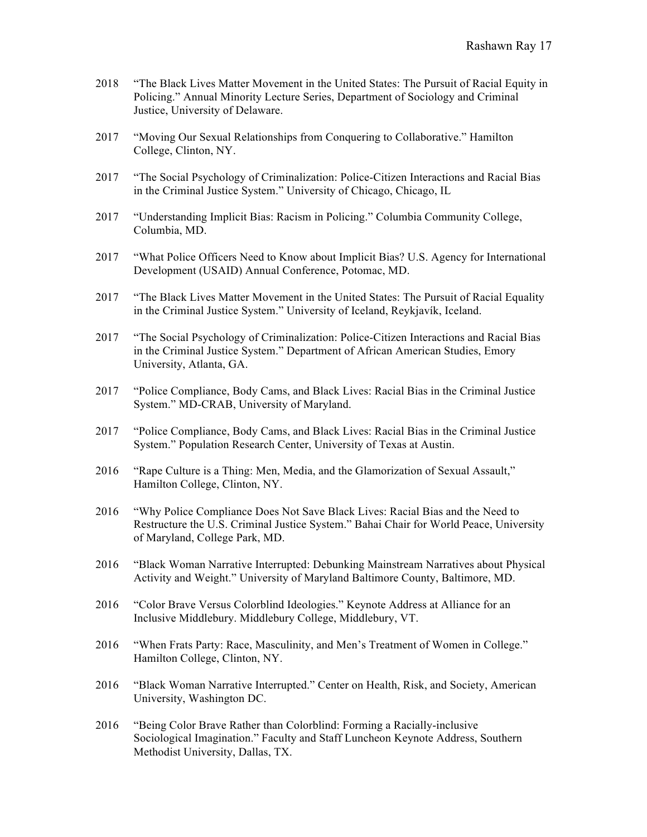- 2018 "The Black Lives Matter Movement in the United States: The Pursuit of Racial Equity in Policing." Annual Minority Lecture Series, Department of Sociology and Criminal Justice, University of Delaware.
- 2017 "Moving Our Sexual Relationships from Conquering to Collaborative." Hamilton College, Clinton, NY.
- 2017 "The Social Psychology of Criminalization: Police-Citizen Interactions and Racial Bias in the Criminal Justice System." University of Chicago, Chicago, IL
- 2017 "Understanding Implicit Bias: Racism in Policing." Columbia Community College, Columbia, MD.
- 2017 "What Police Officers Need to Know about Implicit Bias? U.S. Agency for International Development (USAID) Annual Conference, Potomac, MD.
- 2017 "The Black Lives Matter Movement in the United States: The Pursuit of Racial Equality in the Criminal Justice System." University of Iceland, Reykjavík, Iceland.
- 2017 "The Social Psychology of Criminalization: Police-Citizen Interactions and Racial Bias in the Criminal Justice System." Department of African American Studies, Emory University, Atlanta, GA.
- 2017 "Police Compliance, Body Cams, and Black Lives: Racial Bias in the Criminal Justice System." MD-CRAB, University of Maryland.
- 2017 "Police Compliance, Body Cams, and Black Lives: Racial Bias in the Criminal Justice System." Population Research Center, University of Texas at Austin.
- 2016 "Rape Culture is a Thing: Men, Media, and the Glamorization of Sexual Assault," Hamilton College, Clinton, NY.
- 2016 "Why Police Compliance Does Not Save Black Lives: Racial Bias and the Need to Restructure the U.S. Criminal Justice System." Bahai Chair for World Peace, University of Maryland, College Park, MD.
- 2016 "Black Woman Narrative Interrupted: Debunking Mainstream Narratives about Physical Activity and Weight." University of Maryland Baltimore County, Baltimore, MD.
- 2016 "Color Brave Versus Colorblind Ideologies." Keynote Address at Alliance for an Inclusive Middlebury. Middlebury College, Middlebury, VT.
- 2016 "When Frats Party: Race, Masculinity, and Men's Treatment of Women in College." Hamilton College, Clinton, NY.
- 2016 "Black Woman Narrative Interrupted." Center on Health, Risk, and Society, American University, Washington DC.
- 2016 "Being Color Brave Rather than Colorblind: Forming a Racially-inclusive Sociological Imagination." Faculty and Staff Luncheon Keynote Address, Southern Methodist University, Dallas, TX.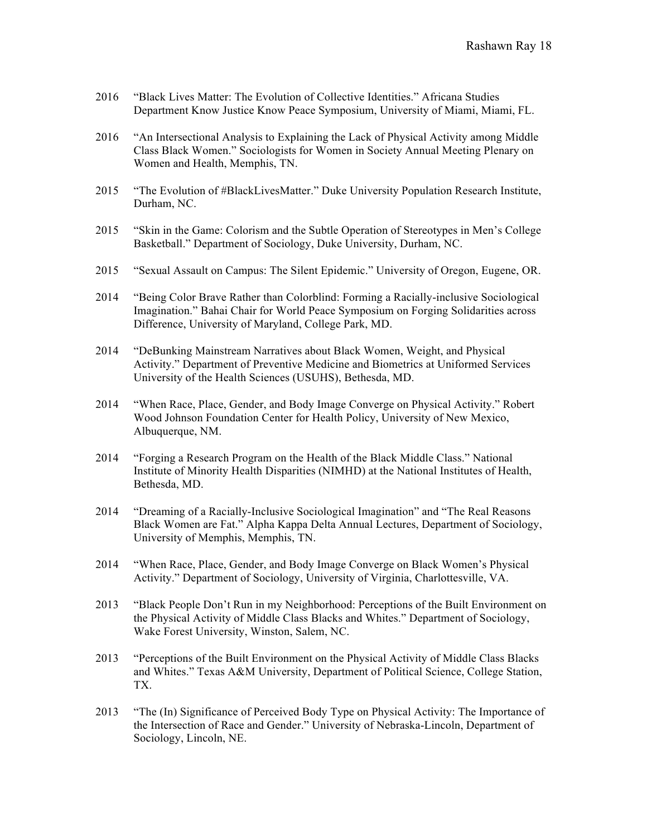- 2016 "Black Lives Matter: The Evolution of Collective Identities." Africana Studies Department Know Justice Know Peace Symposium, University of Miami, Miami, FL.
- 2016 "An Intersectional Analysis to Explaining the Lack of Physical Activity among Middle Class Black Women." Sociologists for Women in Society Annual Meeting Plenary on Women and Health, Memphis, TN.
- 2015 "The Evolution of #BlackLivesMatter." Duke University Population Research Institute, Durham, NC.
- 2015 "Skin in the Game: Colorism and the Subtle Operation of Stereotypes in Men's College Basketball." Department of Sociology, Duke University, Durham, NC.
- 2015 "Sexual Assault on Campus: The Silent Epidemic." University of Oregon, Eugene, OR.
- 2014 "Being Color Brave Rather than Colorblind: Forming a Racially-inclusive Sociological Imagination." Bahai Chair for World Peace Symposium on Forging Solidarities across Difference, University of Maryland, College Park, MD.
- 2014 "DeBunking Mainstream Narratives about Black Women, Weight, and Physical Activity." Department of Preventive Medicine and Biometrics at Uniformed Services University of the Health Sciences (USUHS), Bethesda, MD.
- 2014 "When Race, Place, Gender, and Body Image Converge on Physical Activity." Robert Wood Johnson Foundation Center for Health Policy, University of New Mexico, Albuquerque, NM.
- 2014 "Forging a Research Program on the Health of the Black Middle Class." National Institute of Minority Health Disparities (NIMHD) at the National Institutes of Health, Bethesda, MD.
- 2014 "Dreaming of a Racially-Inclusive Sociological Imagination" and "The Real Reasons Black Women are Fat." Alpha Kappa Delta Annual Lectures, Department of Sociology, University of Memphis, Memphis, TN.
- 2014 "When Race, Place, Gender, and Body Image Converge on Black Women's Physical Activity." Department of Sociology, University of Virginia, Charlottesville, VA.
- 2013 "Black People Don't Run in my Neighborhood: Perceptions of the Built Environment on the Physical Activity of Middle Class Blacks and Whites." Department of Sociology, Wake Forest University, Winston, Salem, NC.
- 2013 "Perceptions of the Built Environment on the Physical Activity of Middle Class Blacks and Whites." Texas A&M University, Department of Political Science, College Station, TX.
- 2013 "The (In) Significance of Perceived Body Type on Physical Activity: The Importance of the Intersection of Race and Gender." University of Nebraska-Lincoln, Department of Sociology, Lincoln, NE.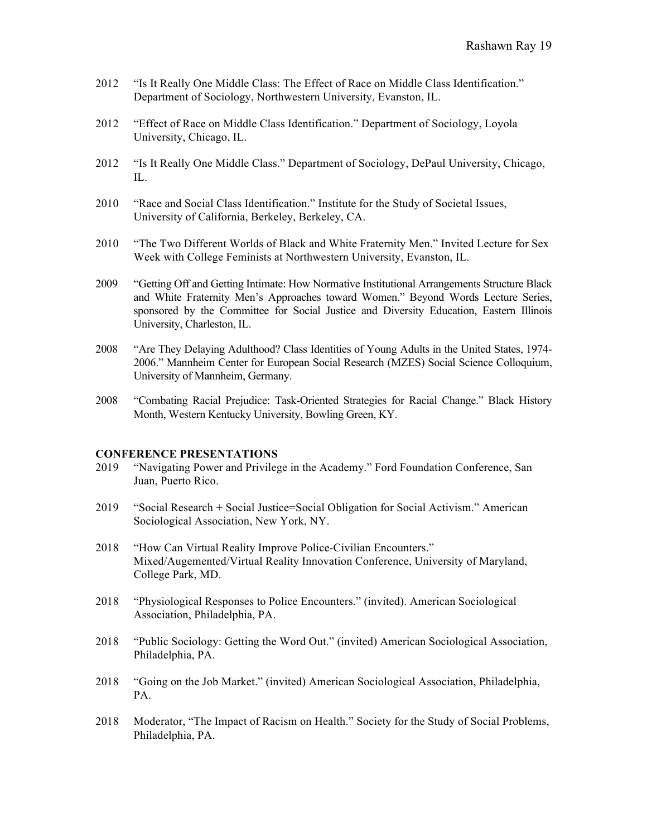- 2012 "Is It Really One Middle Class: The Effect of Race on Middle Class Identification." Department of Sociology, Northwestern University, Evanston, IL.
- 2012 "Effect of Race on Middle Class Identification." Department of Sociology, Loyola University, Chicago, IL.
- 2012 "Is It Really One Middle Class." Department of Sociology, DePaul University, Chicago, IL.
- 2010 "Race and Social Class Identification." Institute for the Study of Societal Issues, University of California, Berkeley, Berkeley, CA.
- 2010 "The Two Different Worlds of Black and White Fraternity Men." Invited Lecture for Sex Week with College Feminists at Northwestern University, Evanston, IL.
- 2009 "Getting Off and Getting Intimate: How Normative Institutional Arrangements Structure Black and White Fraternity Men's Approaches toward Women." Beyond Words Lecture Series, sponsored by the Committee for Social Justice and Diversity Education, Eastern Illinois University, Charleston, IL.
- 2008 "Are They Delaying Adulthood? Class Identities of Young Adults in the United States, 1974- 2006." Mannheim Center for European Social Research (MZES) Social Science Colloquium, University of Mannheim, Germany.
- 2008 "Combating Racial Prejudice: Task-Oriented Strategies for Racial Change." Black History Month, Western Kentucky University, Bowling Green, KY.

#### **CONFERENCE PRESENTATIONS**

- 2019 "Navigating Power and Privilege in the Academy." Ford Foundation Conference, San Juan, Puerto Rico.
- 2019 "Social Research + Social Justice=Social Obligation for Social Activism." American Sociological Association, New York, NY.
- 2018 "How Can Virtual Reality Improve Police-Civilian Encounters." Mixed/Augemented/Virtual Reality Innovation Conference, University of Maryland, College Park, MD.
- 2018 "Physiological Responses to Police Encounters." (invited). American Sociological Association, Philadelphia, PA.
- 2018 "Public Sociology: Getting the Word Out." (invited) American Sociological Association, Philadelphia, PA.
- 2018 "Going on the Job Market." (invited) American Sociological Association, Philadelphia, PA.
- 2018 Moderator, "The Impact of Racism on Health." Society for the Study of Social Problems, Philadelphia, PA.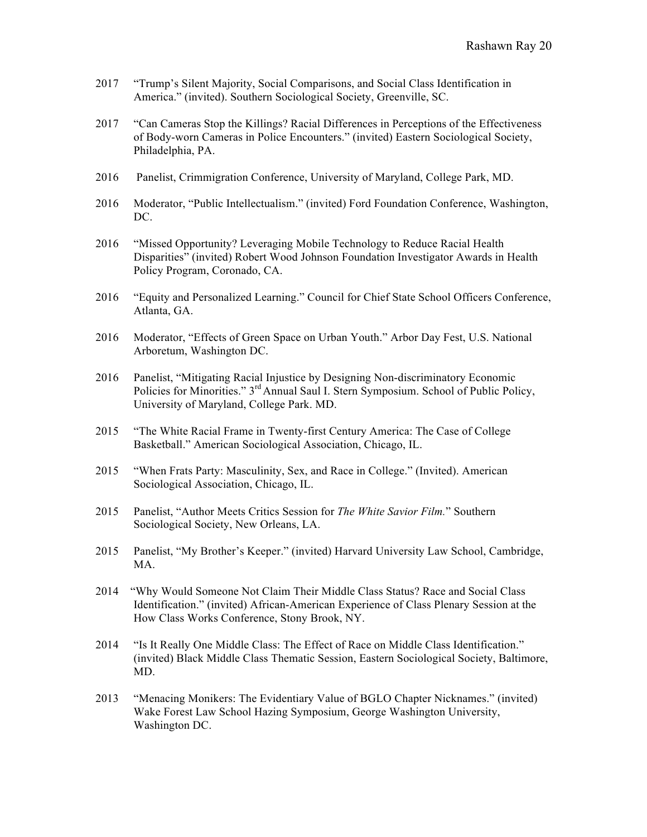- 2017 "Trump's Silent Majority, Social Comparisons, and Social Class Identification in America." (invited). Southern Sociological Society, Greenville, SC.
- 2017 "Can Cameras Stop the Killings? Racial Differences in Perceptions of the Effectiveness of Body-worn Cameras in Police Encounters." (invited) Eastern Sociological Society, Philadelphia, PA.
- 2016 Panelist, Crimmigration Conference, University of Maryland, College Park, MD.
- 2016 Moderator, "Public Intellectualism." (invited) Ford Foundation Conference, Washington, DC.
- 2016 "Missed Opportunity? Leveraging Mobile Technology to Reduce Racial Health Disparities" (invited) Robert Wood Johnson Foundation Investigator Awards in Health Policy Program, Coronado, CA.
- 2016 "Equity and Personalized Learning." Council for Chief State School Officers Conference, Atlanta, GA.
- 2016 Moderator, "Effects of Green Space on Urban Youth." Arbor Day Fest, U.S. National Arboretum, Washington DC.
- 2016 Panelist, "Mitigating Racial Injustice by Designing Non-discriminatory Economic Policies for Minorities." 3<sup>rd</sup> Annual Saul I. Stern Symposium. School of Public Policy, University of Maryland, College Park. MD.
- 2015 "The White Racial Frame in Twenty-first Century America: The Case of College Basketball." American Sociological Association, Chicago, IL.
- 2015 "When Frats Party: Masculinity, Sex, and Race in College." (Invited). American Sociological Association, Chicago, IL.
- 2015 Panelist, "Author Meets Critics Session for *The White Savior Film.*" Southern Sociological Society, New Orleans, LA.
- 2015 Panelist, "My Brother's Keeper." (invited) Harvard University Law School, Cambridge, MA.
- 2014 "Why Would Someone Not Claim Their Middle Class Status? Race and Social Class Identification." (invited) African-American Experience of Class Plenary Session at the How Class Works Conference, Stony Brook, NY.
- 2014 "Is It Really One Middle Class: The Effect of Race on Middle Class Identification." (invited) Black Middle Class Thematic Session, Eastern Sociological Society, Baltimore, MD.
- 2013 "Menacing Monikers: The Evidentiary Value of BGLO Chapter Nicknames." (invited) Wake Forest Law School Hazing Symposium, George Washington University, Washington DC.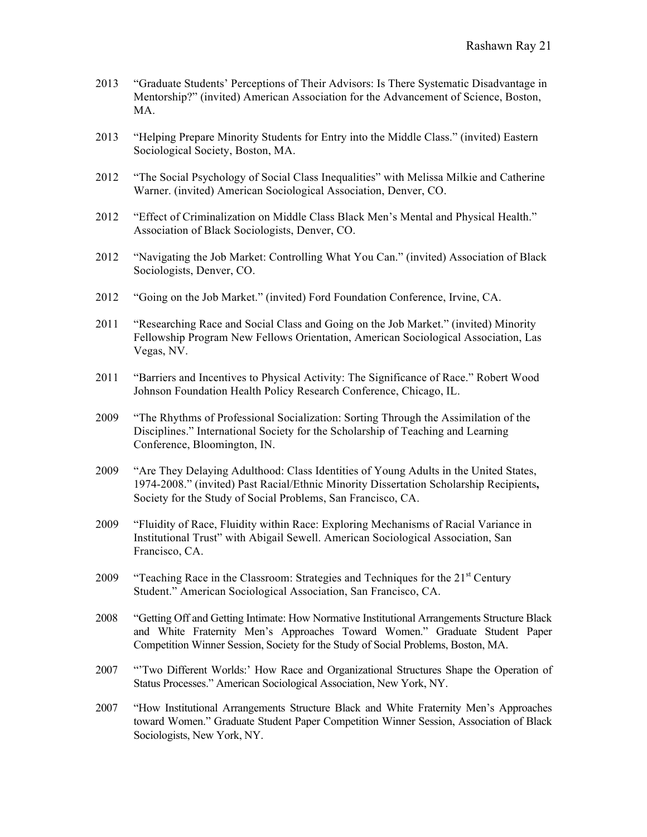- 2013 "Graduate Students' Perceptions of Their Advisors: Is There Systematic Disadvantage in Mentorship?" (invited) American Association for the Advancement of Science, Boston, MA.
- 2013 "Helping Prepare Minority Students for Entry into the Middle Class." (invited) Eastern Sociological Society, Boston, MA.
- 2012 "The Social Psychology of Social Class Inequalities" with Melissa Milkie and Catherine Warner. (invited) American Sociological Association, Denver, CO.
- 2012 "Effect of Criminalization on Middle Class Black Men's Mental and Physical Health." Association of Black Sociologists, Denver, CO.
- 2012 "Navigating the Job Market: Controlling What You Can." (invited) Association of Black Sociologists, Denver, CO.
- 2012 "Going on the Job Market." (invited) Ford Foundation Conference, Irvine, CA.
- 2011 "Researching Race and Social Class and Going on the Job Market." (invited) Minority Fellowship Program New Fellows Orientation, American Sociological Association, Las Vegas, NV.
- 2011 "Barriers and Incentives to Physical Activity: The Significance of Race." Robert Wood Johnson Foundation Health Policy Research Conference, Chicago, IL.
- 2009 "The Rhythms of Professional Socialization: Sorting Through the Assimilation of the Disciplines." International Society for the Scholarship of Teaching and Learning Conference, Bloomington, IN.
- 2009 "Are They Delaying Adulthood: Class Identities of Young Adults in the United States, 1974-2008." (invited) Past Racial/Ethnic Minority Dissertation Scholarship Recipients**,**  Society for the Study of Social Problems, San Francisco, CA.
- 2009 "Fluidity of Race, Fluidity within Race: Exploring Mechanisms of Racial Variance in Institutional Trust" with Abigail Sewell. American Sociological Association, San Francisco, CA.
- 2009 "Teaching Race in the Classroom: Strategies and Techniques for the  $21<sup>st</sup>$  Century Student." American Sociological Association, San Francisco, CA.
- 2008 "Getting Off and Getting Intimate: How Normative Institutional Arrangements Structure Black and White Fraternity Men's Approaches Toward Women." Graduate Student Paper Competition Winner Session, Society for the Study of Social Problems, Boston, MA.
- 2007 "'Two Different Worlds:' How Race and Organizational Structures Shape the Operation of Status Processes." American Sociological Association, New York, NY.
- 2007 "How Institutional Arrangements Structure Black and White Fraternity Men's Approaches toward Women." Graduate Student Paper Competition Winner Session, Association of Black Sociologists, New York, NY.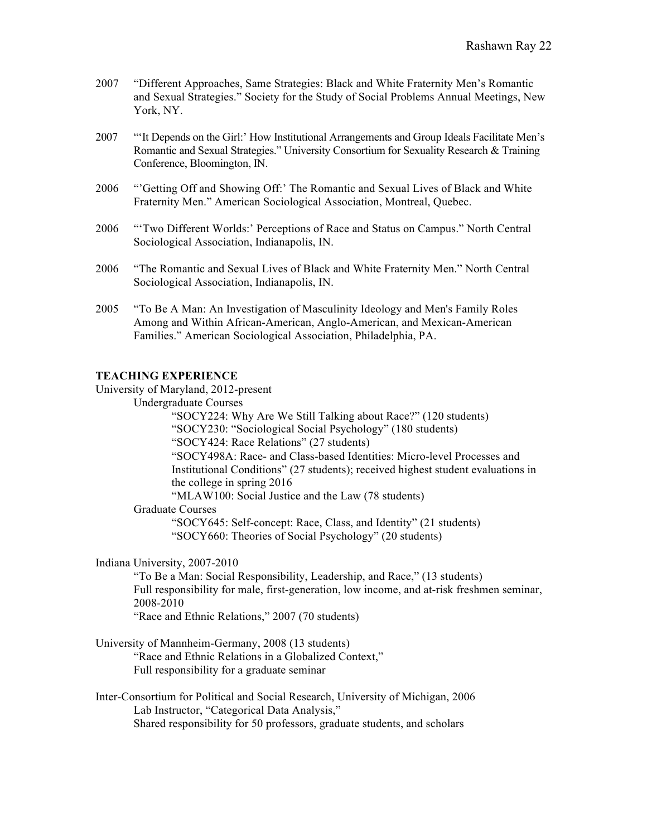- 2007 "Different Approaches, Same Strategies: Black and White Fraternity Men's Romantic and Sexual Strategies." Society for the Study of Social Problems Annual Meetings, New York, NY.
- 2007 "'It Depends on the Girl:' How Institutional Arrangements and Group Ideals Facilitate Men's Romantic and Sexual Strategies." University Consortium for Sexuality Research & Training Conference, Bloomington, IN.
- 2006 "'Getting Off and Showing Off:' The Romantic and Sexual Lives of Black and White Fraternity Men." American Sociological Association, Montreal, Quebec.
- 2006 "'Two Different Worlds:' Perceptions of Race and Status on Campus." North Central Sociological Association, Indianapolis, IN.
- 2006 "The Romantic and Sexual Lives of Black and White Fraternity Men." North Central Sociological Association, Indianapolis, IN.
- 2005"To Be A Man: An Investigation of Masculinity Ideology and Men's Family Roles Among and Within African-American, Anglo-American, and Mexican-American Families." American Sociological Association, Philadelphia, PA.

# **TEACHING EXPERIENCE**

University of Maryland, 2012-present

Undergraduate Courses

"SOCY224: Why Are We Still Talking about Race?" (120 students) "SOCY230: "Sociological Social Psychology" (180 students) "SOCY424: Race Relations" (27 students) "SOCY498A: Race- and Class-based Identities: Micro-level Processes and Institutional Conditions" (27 students); received highest student evaluations in the college in spring 2016

"MLAW100: Social Justice and the Law (78 students)

Graduate Courses

"SOCY645: Self-concept: Race, Class, and Identity" (21 students) "SOCY660: Theories of Social Psychology" (20 students)

Indiana University, 2007-2010

"To Be a Man: Social Responsibility, Leadership, and Race," (13 students) Full responsibility for male, first-generation, low income, and at-risk freshmen seminar, 2008-2010

"Race and Ethnic Relations," 2007 (70 students)

- University of Mannheim-Germany, 2008 (13 students) "Race and Ethnic Relations in a Globalized Context," Full responsibility for a graduate seminar
- Inter-Consortium for Political and Social Research, University of Michigan, 2006 Lab Instructor, "Categorical Data Analysis," Shared responsibility for 50 professors, graduate students, and scholars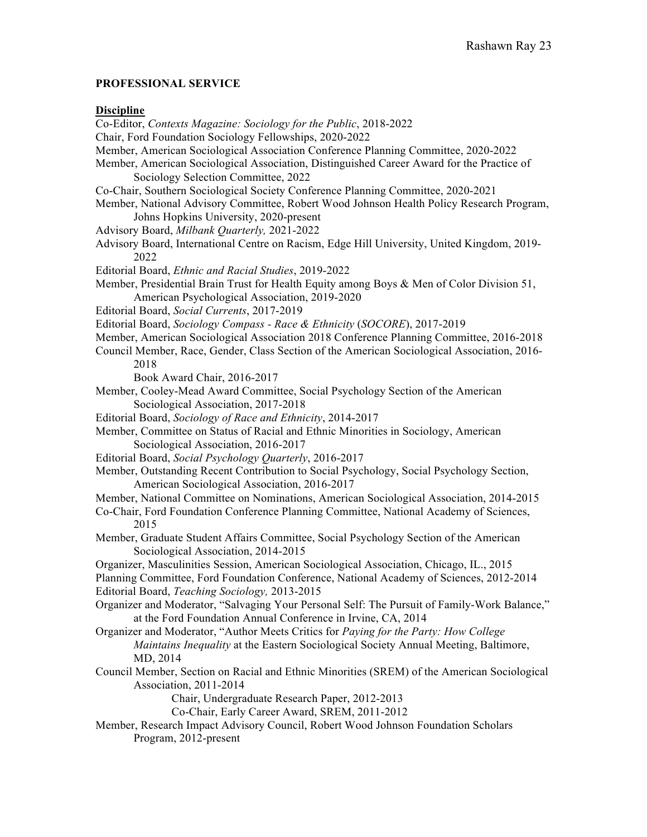# **PROFESSIONAL SERVICE**

## **Discipline**

Co-Editor, *Contexts Magazine: Sociology for the Public*, 2018-2022 Chair, Ford Foundation Sociology Fellowships, 2020-2022 Member, American Sociological Association Conference Planning Committee, 2020-2022 Member, American Sociological Association, Distinguished Career Award for the Practice of Sociology Selection Committee, 2022 Co-Chair, Southern Sociological Society Conference Planning Committee, 2020-2021 Member, National Advisory Committee, Robert Wood Johnson Health Policy Research Program, Johns Hopkins University, 2020-present Advisory Board, *Milbank Quarterly,* 2021-2022 Advisory Board, International Centre on Racism, Edge Hill University, United Kingdom, 2019- 2022 Editorial Board, *Ethnic and Racial Studies*, 2019-2022 Member, Presidential Brain Trust for Health Equity among Boys & Men of Color Division 51, American Psychological Association, 2019-2020 Editorial Board, *Social Currents*, 2017-2019 Editorial Board, *Sociology Compass - Race & Ethnicity* (*SOCORE*), 2017-2019 Member, American Sociological Association 2018 Conference Planning Committee, 2016-2018 Council Member, Race, Gender, Class Section of the American Sociological Association, 2016- 2018 Book Award Chair, 2016-2017 Member, Cooley-Mead Award Committee, Social Psychology Section of the American Sociological Association, 2017-2018 Editorial Board, *Sociology of Race and Ethnicity*, 2014-2017 Member, Committee on Status of Racial and Ethnic Minorities in Sociology, American Sociological Association, 2016-2017 Editorial Board, *Social Psychology Quarterly*, 2016-2017 Member, Outstanding Recent Contribution to Social Psychology, Social Psychology Section, American Sociological Association, 2016-2017 Member, National Committee on Nominations, American Sociological Association, 2014-2015 Co-Chair, Ford Foundation Conference Planning Committee, National Academy of Sciences, 2015 Member, Graduate Student Affairs Committee, Social Psychology Section of the American Sociological Association, 2014-2015 Organizer, Masculinities Session, American Sociological Association, Chicago, IL., 2015 Planning Committee, Ford Foundation Conference, National Academy of Sciences, 2012-2014 Editorial Board, *Teaching Sociology,* 2013-2015 Organizer and Moderator, "Salvaging Your Personal Self: The Pursuit of Family-Work Balance," at the Ford Foundation Annual Conference in Irvine, CA, 2014 Organizer and Moderator, "Author Meets Critics for *Paying for the Party: How College Maintains Inequality* at the Eastern Sociological Society Annual Meeting, Baltimore, MD, 2014 Council Member, Section on Racial and Ethnic Minorities (SREM) of the American Sociological Association, 2011-2014 Chair, Undergraduate Research Paper, 2012-2013 Co-Chair, Early Career Award, SREM, 2011-2012 Member, Research Impact Advisory Council, Robert Wood Johnson Foundation Scholars Program, 2012-present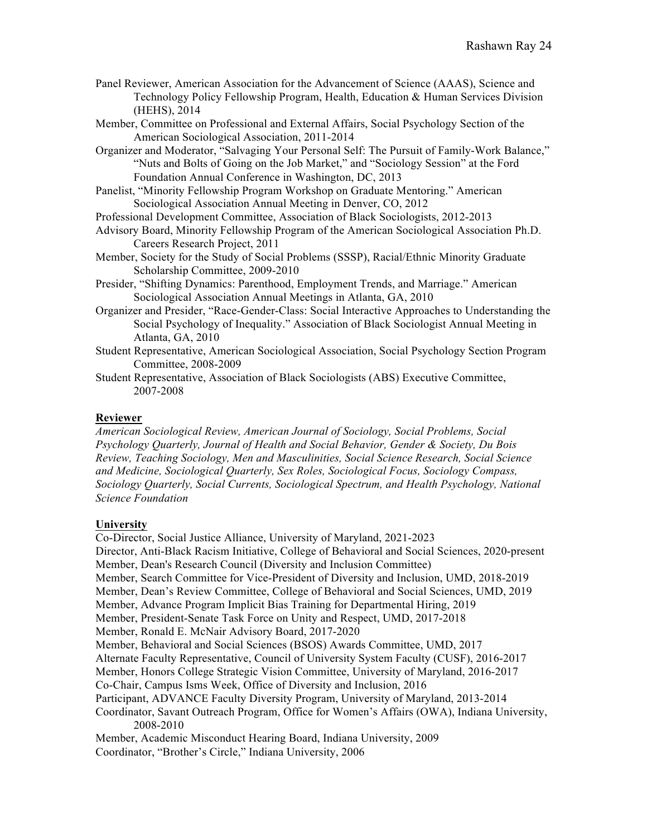- Panel Reviewer, American Association for the Advancement of Science (AAAS), Science and Technology Policy Fellowship Program, Health, Education & Human Services Division (HEHS), 2014
- Member, Committee on Professional and External Affairs, Social Psychology Section of the American Sociological Association, 2011-2014
- Organizer and Moderator, "Salvaging Your Personal Self: The Pursuit of Family-Work Balance," "Nuts and Bolts of Going on the Job Market," and "Sociology Session" at the Ford Foundation Annual Conference in Washington, DC, 2013
- Panelist, "Minority Fellowship Program Workshop on Graduate Mentoring." American Sociological Association Annual Meeting in Denver, CO, 2012
- Professional Development Committee, Association of Black Sociologists, 2012-2013
- Advisory Board, Minority Fellowship Program of the American Sociological Association Ph.D. Careers Research Project, 2011
- Member, Society for the Study of Social Problems (SSSP), Racial/Ethnic Minority Graduate Scholarship Committee, 2009-2010
- Presider, "Shifting Dynamics: Parenthood, Employment Trends, and Marriage." American Sociological Association Annual Meetings in Atlanta, GA, 2010
- Organizer and Presider, "Race-Gender-Class: Social Interactive Approaches to Understanding the Social Psychology of Inequality." Association of Black Sociologist Annual Meeting in Atlanta, GA, 2010
- Student Representative, American Sociological Association, Social Psychology Section Program Committee, 2008-2009

Student Representative, Association of Black Sociologists (ABS) Executive Committee, 2007-2008

# **Reviewer**

*American Sociological Review, American Journal of Sociology, Social Problems, Social Psychology Quarterly, Journal of Health and Social Behavior, Gender & Society, Du Bois Review, Teaching Sociology, Men and Masculinities, Social Science Research, Social Science and Medicine, Sociological Quarterly, Sex Roles, Sociological Focus, Sociology Compass, Sociology Quarterly, Social Currents, Sociological Spectrum, and Health Psychology, National Science Foundation*

# **University**

Co-Director, Social Justice Alliance, University of Maryland, 2021-2023 Director, Anti-Black Racism Initiative, College of Behavioral and Social Sciences, 2020-present Member, Dean's Research Council (Diversity and Inclusion Committee) Member, Search Committee for Vice-President of Diversity and Inclusion, UMD, 2018-2019 Member, Dean's Review Committee, College of Behavioral and Social Sciences, UMD, 2019 Member, Advance Program Implicit Bias Training for Departmental Hiring, 2019 Member, President-Senate Task Force on Unity and Respect, UMD, 2017-2018 Member, Ronald E. McNair Advisory Board, 2017-2020 Member, Behavioral and Social Sciences (BSOS) Awards Committee, UMD, 2017 Alternate Faculty Representative, Council of University System Faculty (CUSF), 2016-2017 Member, Honors College Strategic Vision Committee, University of Maryland, 2016-2017 Co-Chair, Campus Isms Week, Office of Diversity and Inclusion, 2016 Participant, ADVANCE Faculty Diversity Program, University of Maryland, 2013-2014 Coordinator, Savant Outreach Program, Office for Women's Affairs (OWA), Indiana University, 2008-2010 Member, Academic Misconduct Hearing Board, Indiana University, 2009 Coordinator, "Brother's Circle," Indiana University, 2006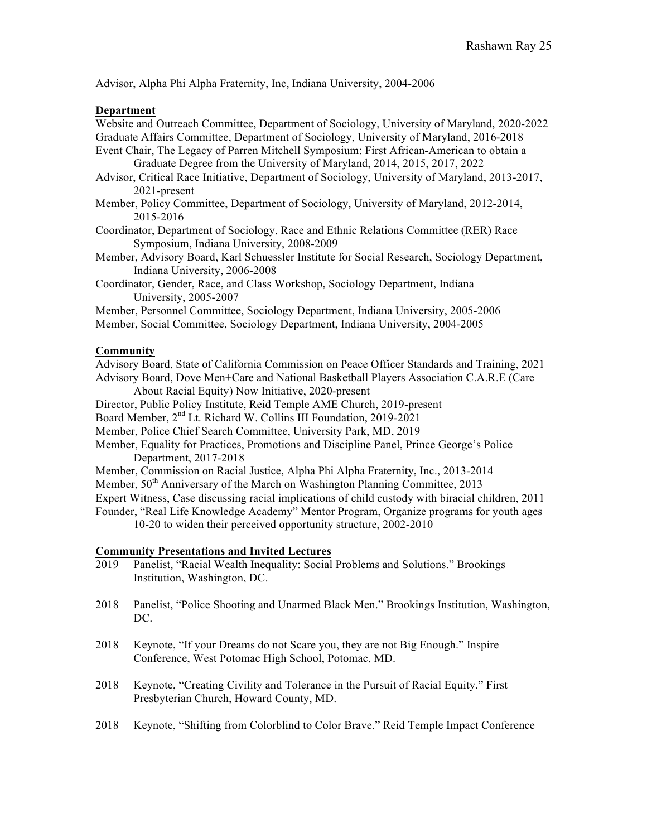Advisor, Alpha Phi Alpha Fraternity, Inc, Indiana University, 2004-2006

## **Department**

Website and Outreach Committee, Department of Sociology, University of Maryland, 2020-2022 Graduate Affairs Committee, Department of Sociology, University of Maryland, 2016-2018 Event Chair, The Legacy of Parren Mitchell Symposium: First African-American to obtain a

Graduate Degree from the University of Maryland, 2014, 2015, 2017, 2022

Advisor, Critical Race Initiative, Department of Sociology, University of Maryland, 2013-2017, 2021-present

Member, Policy Committee, Department of Sociology, University of Maryland, 2012-2014, 2015-2016

- Coordinator, Department of Sociology, Race and Ethnic Relations Committee (RER) Race Symposium, Indiana University, 2008-2009
- Member, Advisory Board, Karl Schuessler Institute for Social Research, Sociology Department, Indiana University, 2006-2008
- Coordinator, Gender, Race, and Class Workshop, Sociology Department, Indiana University, 2005-2007

Member, Personnel Committee, Sociology Department, Indiana University, 2005-2006

Member, Social Committee, Sociology Department, Indiana University, 2004-2005

# **Community**

Advisory Board, State of California Commission on Peace Officer Standards and Training, 2021 Advisory Board, Dove Men+Care and National Basketball Players Association C.A.R.E (Care

About Racial Equity) Now Initiative, 2020-present

Director, Public Policy Institute, Reid Temple AME Church, 2019-present

Board Member, 2<sup>nd</sup> Lt. Richard W. Collins III Foundation, 2019-2021

Member, Police Chief Search Committee, University Park, MD, 2019

Member, Equality for Practices, Promotions and Discipline Panel, Prince George's Police Department, 2017-2018

Member, Commission on Racial Justice, Alpha Phi Alpha Fraternity, Inc., 2013-2014

Member,  $50<sup>th</sup>$  Anniversary of the March on Washington Planning Committee, 2013

Expert Witness, Case discussing racial implications of child custody with biracial children, 2011

Founder, "Real Life Knowledge Academy" Mentor Program, Organize programs for youth ages

10-20 to widen their perceived opportunity structure, 2002-2010

# **Community Presentations and Invited Lectures**<br>2019 Panelist. "Racial Wealth Inequality: Social

- Panelist, "Racial Wealth Inequality: Social Problems and Solutions." Brookings Institution, Washington, DC.
- 2018 Panelist, "Police Shooting and Unarmed Black Men." Brookings Institution, Washington, DC.
- 2018 Keynote, "If your Dreams do not Scare you, they are not Big Enough." Inspire Conference, West Potomac High School, Potomac, MD.
- 2018 Keynote, "Creating Civility and Tolerance in the Pursuit of Racial Equity." First Presbyterian Church, Howard County, MD.
- 2018 Keynote, "Shifting from Colorblind to Color Brave." Reid Temple Impact Conference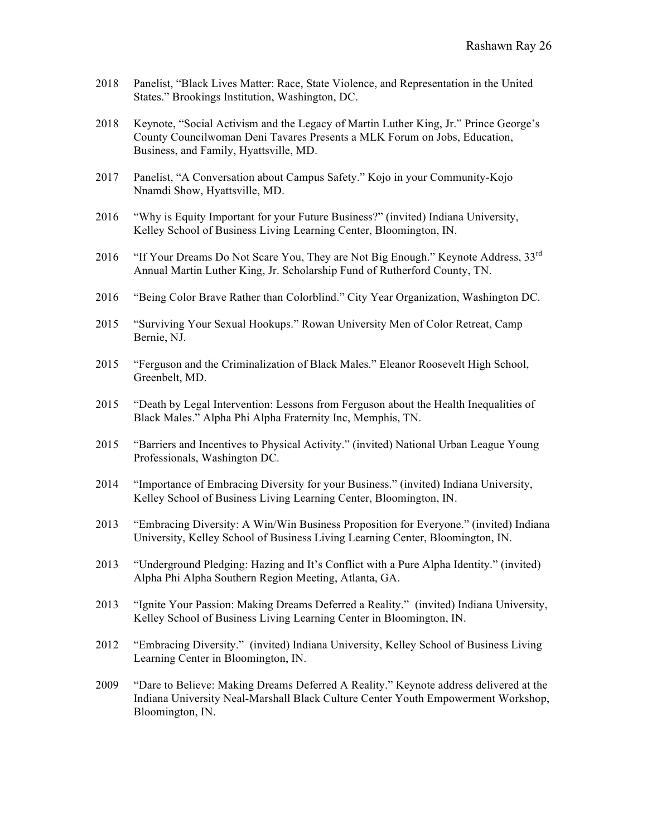- 2018 Panelist, "Black Lives Matter: Race, State Violence, and Representation in the United States." Brookings Institution, Washington, DC.
- 2018 Keynote, "Social Activism and the Legacy of Martin Luther King, Jr." Prince George's County Councilwoman Deni Tavares Presents a MLK Forum on Jobs, Education, Business, and Family, Hyattsville, MD.
- 2017 Panelist, "A Conversation about Campus Safety." Kojo in your Community-Kojo Nnamdi Show, Hyattsville, MD.
- 2016 "Why is Equity Important for your Future Business?" (invited) Indiana University, Kelley School of Business Living Learning Center, Bloomington, IN.
- 2016 "If Your Dreams Do Not Scare You, They are Not Big Enough." Keynote Address,  $33^{rd}$ Annual Martin Luther King, Jr. Scholarship Fund of Rutherford County, TN.
- 2016 "Being Color Brave Rather than Colorblind." City Year Organization, Washington DC.
- 2015 "Surviving Your Sexual Hookups." Rowan University Men of Color Retreat, Camp Bernie, NJ.
- 2015 "Ferguson and the Criminalization of Black Males." Eleanor Roosevelt High School, Greenbelt, MD.
- 2015 "Death by Legal Intervention: Lessons from Ferguson about the Health Inequalities of Black Males." Alpha Phi Alpha Fraternity Inc, Memphis, TN.
- 2015 "Barriers and Incentives to Physical Activity." (invited) National Urban League Young Professionals, Washington DC.
- 2014 "Importance of Embracing Diversity for your Business." (invited) Indiana University, Kelley School of Business Living Learning Center, Bloomington, IN.
- 2013 "Embracing Diversity: A Win/Win Business Proposition for Everyone." (invited) Indiana University, Kelley School of Business Living Learning Center, Bloomington, IN.
- 2013 "Underground Pledging: Hazing and It's Conflict with a Pure Alpha Identity." (invited) Alpha Phi Alpha Southern Region Meeting, Atlanta, GA.
- 2013 "Ignite Your Passion: Making Dreams Deferred a Reality." (invited) Indiana University, Kelley School of Business Living Learning Center in Bloomington, IN.
- 2012 "Embracing Diversity." (invited) Indiana University, Kelley School of Business Living Learning Center in Bloomington, IN.
- 2009 "Dare to Believe: Making Dreams Deferred A Reality." Keynote address delivered at the Indiana University Neal-Marshall Black Culture Center Youth Empowerment Workshop, Bloomington, IN.